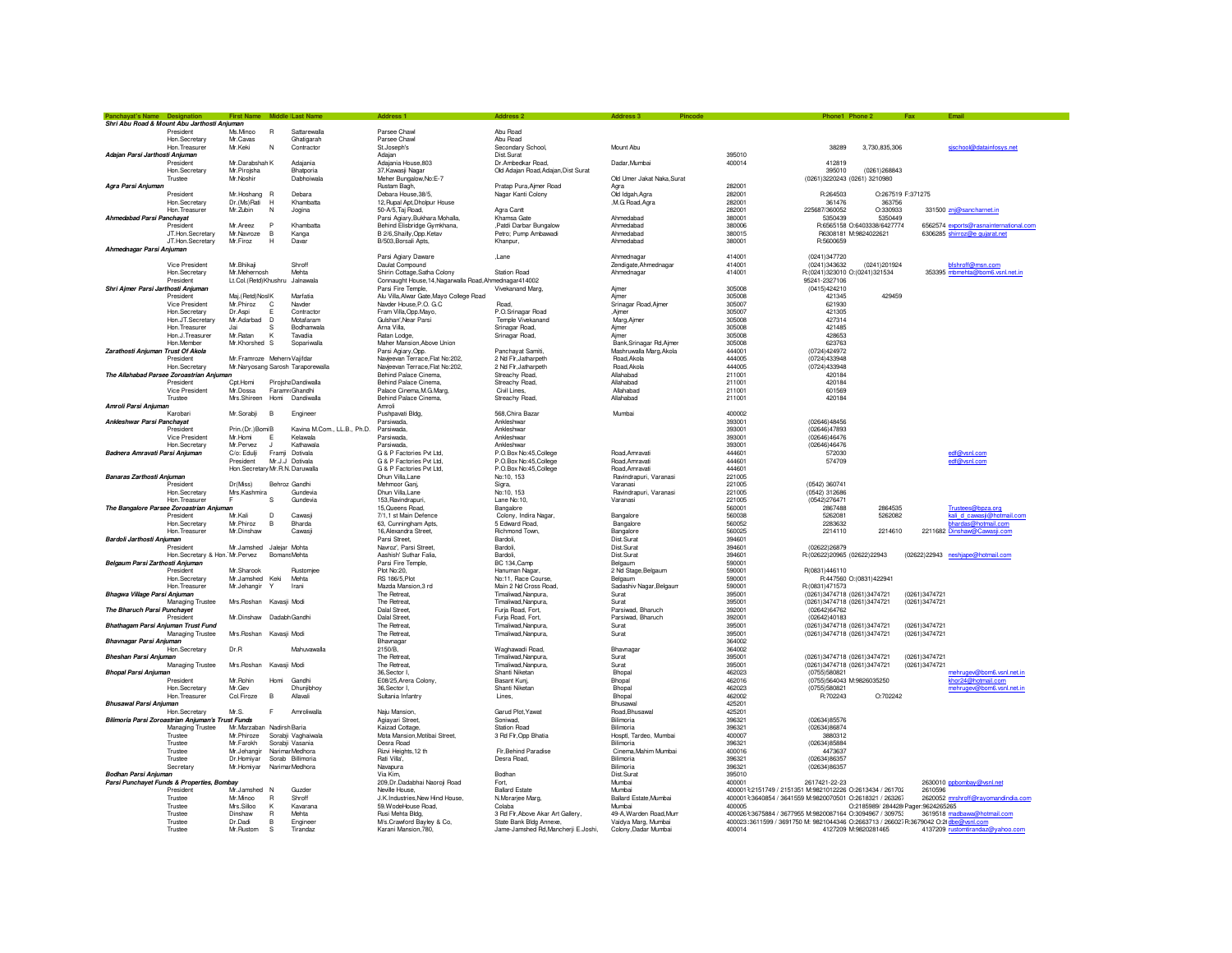|                                    |                                                         | First Name Middle Last Name                    |      |                             |                                                                                        |                                       |                              |                                                                                     |                                                |                                    |               |                                        |
|------------------------------------|---------------------------------------------------------|------------------------------------------------|------|-----------------------------|----------------------------------------------------------------------------------------|---------------------------------------|------------------------------|-------------------------------------------------------------------------------------|------------------------------------------------|------------------------------------|---------------|----------------------------------------|
|                                    | Shri Abu Road & Mount Abu Jarthosti Anjuman             |                                                |      |                             |                                                                                        |                                       |                              |                                                                                     |                                                |                                    |               |                                        |
|                                    | President                                               | Ms.Minoo<br>$\mathsf{R}$                       |      | Sattarewalla                | Parsee Chawl                                                                           | Abu Road                              |                              |                                                                                     |                                                |                                    |               |                                        |
|                                    | Hon.Secretary                                           | Mr.Cavas                                       |      | Ghatigarah                  | Parsee Chawl                                                                           | Abu Road                              |                              |                                                                                     |                                                |                                    |               |                                        |
|                                    | Hon Treasurer                                           | N<br>Mr. Keki                                  |      | Contractor                  | St.Joseph's                                                                            | Secondary School,                     | Mount Abu                    |                                                                                     | 38289                                          | 3.730.835.306                      |               | sischool@datainfosys.net               |
| Adajan Parsi Jarthosti Anjuman     |                                                         |                                                |      |                             | Adajar                                                                                 | Dist.Surat                            |                              | 395010                                                                              |                                                |                                    |               |                                        |
|                                    | President                                               | Mr.Darabshah K                                 |      | Adajania                    | Adajania House, 803                                                                    | Dr.Ambedkar Road,                     | Dadar Mumbai                 | 400014                                                                              | 412819                                         |                                    |               |                                        |
|                                    | Hon, Secretary<br>Trustee                               | Mr.Pirojsha<br>Mr. Noshir                      |      | Bhatporia<br>Dabhoiwala     | 37. Kawasii Nagar<br>Meher Bungalow, No: E-7                                           | Old Adajan Road, Adajan, Dist Surat   | Old Umer Jakat Naka Surat    |                                                                                     | 395010<br>(0261)3220243 (0261) 3210980         | (0261)268843                       |               |                                        |
| Agra Parsi Anjuman                 |                                                         |                                                |      |                             | Rustam Bagh,                                                                           | Pratap Pura, Ajmer Road               |                              | 282001                                                                              |                                                |                                    |               |                                        |
|                                    | President                                               | Mr.Hoshang R                                   |      | Debara                      | Debara House, 38/5,                                                                    | Nagar Kanti Colony                    | Old Idgah, Agra              | 282001                                                                              | R:264503                                       | O:267519 F:371275                  |               |                                        |
|                                    | Hon.Secretary                                           | Dr. (Ms) Rati<br>H                             |      | Khambatta                   | 12, Rupal Apt, Dholpur House                                                           |                                       | ,M.G.Road,Agra               | 282001                                                                              | 361476                                         | 363756                             |               |                                        |
|                                    | Hon Treasurer                                           | Mr. Zubin<br>N                                 |      | Jogina                      | 50-A/5, Taj Road,                                                                      | Agra Cantt                            |                              | 282001                                                                              | 225687/360052                                  | O:330933                           |               | 331500 znj@sancharnet.in               |
| Ahmedabad Parsi Panchayat          |                                                         |                                                |      |                             | Parsi Agiary, Bukhara Mohalla,                                                         | Khamsa Gate                           | Ahmedabad                    | 380001                                                                              | 5350439                                        | 5350449                            |               |                                        |
|                                    | President                                               | Mr.Areez<br>P                                  |      | Khambatta                   | Behind Elisbridge Gymkhana,                                                            | Patdi Darbar Bungalow                 | Ahmedabad                    | 380006                                                                              |                                                | R:6565158 O:6403338/6427774        |               | 6562574 exports@rasnainternational.com |
|                                    | JT.Hon.Secretary                                        | в<br>Mr.Navroze                                |      | Kanga                       | B 2/6, Shailly, Opp. Ketav                                                             | Petro: Pump Ambawadi                  | Ahmedabad                    | 380015                                                                              |                                                | R6308181 M:9824022621              |               | 6306285 shirroz@e gujarat.net          |
|                                    | JT.Hon.Secretary                                        | H<br>Mr.Firoz                                  |      | Davar                       | B/503, Borsali Apts,                                                                   | Khanpur.                              | Ahmedabad                    | 380001                                                                              | R:5600659                                      |                                    |               |                                        |
| Ahmednagar Parsi Anjuman           |                                                         |                                                |      |                             |                                                                                        |                                       |                              |                                                                                     |                                                |                                    |               |                                        |
|                                    |                                                         |                                                |      |                             | Parsi Agiary Daware                                                                    | ,Lane                                 | Ahmednagar                   | 414001                                                                              | (0241)347720                                   |                                    |               |                                        |
|                                    | Vice President                                          | Mr.Bhikaji                                     |      | Shroff                      | Daulat Compound                                                                        |                                       | Zendigate, Ahmednagar        | 414001                                                                              | (0241)343632                                   | (0241)201924                       |               | bfshroff@msn.com                       |
|                                    | Hon.Secretary<br>President                              | Mr.Mehernosh<br>Lt.Col.(Retd)Khushru Jalnawala |      | Mehta                       | Shirin Cottage, Satha Colony<br>Connaught House, 14, Nagarwalla Road, Ahmednagar414002 | <b>Station Road</b>                   | Ahmednagar                   | 414001                                                                              | R:(0241)323010 O:(0241)321534<br>95241-2327106 |                                    |               | 353395 mbmehta@bom6.vsnl.net.in        |
| Shri Ajmer Parsi Jarthosti Anjumar |                                                         |                                                |      |                             | Parsi Fire Temple,                                                                     | Vivekanand Marg,                      | Ajmer                        | 305008                                                                              | (0415)424210                                   |                                    |               |                                        |
|                                    | President                                               | Maj.(Retd)Nosl K                               |      | Marfatia                    | Alu Villa, Alwar Gate, Mayo College Road                                               |                                       | Aimer                        | 305008                                                                              | 421345                                         | 429459                             |               |                                        |
|                                    | Vice President                                          | Mr.Phiroz<br>C                                 |      | Navder                      | Navder House, P.O. G.C                                                                 | Road.                                 | Srinagar Road, Ajmer         | 305007                                                                              | 621930                                         |                                    |               |                                        |
|                                    | Hon Secretary                                           | Dr. Asni<br>F                                  |      | Contractor                  | Fram Villa, Opp. Mayo,                                                                 | P.O.Srinagar Road                     | Aimer                        | 305007                                                                              | 421305                                         |                                    |               |                                        |
|                                    | Hon.JT.Secretary                                        | Mr.Adarbad<br>n.                               |      | Motafaram                   | Gulshan'.Near Parsi                                                                    | Temple Vivekanand                     | Marg, Ajmer                  | 305008                                                                              | 427314                                         |                                    |               |                                        |
|                                    | Hon. Treasurer                                          | .lai<br>s                                      |      | Bodhanwala                  | Arna Villa,                                                                            | Srinagar Road,                        | Ajmer                        | 305008                                                                              | 421485                                         |                                    |               |                                        |
|                                    | Hon.J.Treasurer                                         | Mr.Ratan<br>K                                  |      | Tavadia                     | Ratan Lodge,                                                                           | Srinagar Road,                        | Ajmer                        | 305008                                                                              | 428653                                         |                                    |               |                                        |
|                                    | Hon Member                                              | Mr.Khorshed S                                  |      | Sopariwalla                 | Maher Mansion, Above Union                                                             |                                       | Bank Srinagar Bd Aime        | 305008                                                                              | 623763                                         |                                    |               |                                        |
| Zarathosti Anjuman Trust Of Akola  |                                                         |                                                |      |                             | Parsi Agiary, Opp.                                                                     | Panchayat Samiti,                     | Mashruwalla Marg.Akola       | 444001                                                                              | (0724)424972                                   |                                    |               |                                        |
|                                    | President                                               | Mr.Framroze Mehern Vajifdar                    |      |                             | Navieevan Terrace, Flat No:202,                                                        | 2 Nd Fir, Jatharpeth                  | Road, Akola                  | 444005                                                                              | (0724)433948                                   |                                    |               |                                        |
|                                    | Hon.Secretary                                           | Mr.Naryosang Sarosh Taraporewalla              |      |                             | Navjeevan Terrace, Flat No:202,                                                        | 2 Nd Flr.Jatharpeth                   | Road, Akola                  | 444005                                                                              | (0724)433948                                   |                                    |               |                                        |
|                                    | The Allahabad Parsee Zoroastrian Anjuman                |                                                |      |                             | Behind Palace Cinema.                                                                  | Streachy Road,                        | Allahabad                    | 211001                                                                              | 420184                                         |                                    |               |                                        |
|                                    | President                                               | Cot.Homi                                       |      | Piroisha Dandiwalla         | Behind Palace Cinema,                                                                  | Streachy Road,                        | Allahahad                    | 211001                                                                              | 420184                                         |                                    |               |                                        |
|                                    | Vice President                                          | Mr. Dossa                                      |      | Faramn Ghandhi              | Palace Cinema, M.G. Marg                                                               | Civil Lines                           | Allahahad                    | 211001                                                                              | 601569                                         |                                    |               |                                        |
|                                    | Trustee                                                 | Mrs.Shireen                                    | Homi | Dandiwalla                  | Behind Palace Cinema,                                                                  | Streachy Road,                        | Allahabad                    | 211001                                                                              | 420184                                         |                                    |               |                                        |
| Amroli Parsi Anjuman               |                                                         |                                                |      |                             | Amroli                                                                                 |                                       |                              |                                                                                     |                                                |                                    |               |                                        |
| Ankleshwar Parsi Panchavat         | Karobari                                                | Mr.Sorabii<br><b>B</b>                         |      | Engineer                    | Pushpavati Bldg.<br>Parsiwada                                                          | 568 Chira Bazar<br>Ankleshwar         | Mumbai                       | 400002<br>393001                                                                    | (02646)48456                                   |                                    |               |                                        |
|                                    | President                                               | Prin.(Dr.)BomiB                                |      | Kavina M.Com., LL.B., Ph.D. | Parsiwada,                                                                             | Ankleshwar                            |                              | 393001                                                                              | (02646)47893                                   |                                    |               |                                        |
|                                    | <b>Vice President</b>                                   | Mr.Homi<br>E                                   |      | Kelawala                    | Parsiwada,                                                                             | Ankleshwar                            |                              | 393001                                                                              | (02646)46476                                   |                                    |               |                                        |
|                                    | Hon.Secretary                                           | Mr.Pervez<br>$\cdot$                           |      | Kathawala                   | Parsiwada.                                                                             | Ankleshwar                            |                              | 393001                                                                              | (02646)46476                                   |                                    |               |                                        |
| Badnera Amravati Parsi Anjuman     |                                                         | C/o: Edulji                                    |      | Framii Dotivala             | G & P Factories Pvt I td.                                                              | P.O.Box No:45 College                 | Road Amravati                | 444601                                                                              | 572030                                         |                                    |               | edf@vsnl.com                           |
|                                    |                                                         | President                                      |      | Mr.J.J Dotivala             | G & P Factories Pvt Ltd.                                                               | P.O.Box No:45, College                | Road, Amravati               | 444601                                                                              | 574709                                         |                                    |               | edf@vsnl.com                           |
|                                    |                                                         | Hon. Secretary Mr. R.N. Daruwalla              |      |                             | G & P Factories Pvt Ltd,                                                               | P.O.Box No:45, College                | Road, Amravati               | 444601                                                                              |                                                |                                    |               |                                        |
| Banaras Zarthosti Anjuman          |                                                         |                                                |      |                             | Dhun Villa, Lane                                                                       | No:10, 153                            | Ravindrapuri, Varanasi       | 221005                                                                              |                                                |                                    |               |                                        |
|                                    | President                                               | Dr(Miss)                                       |      | Behroz Gandhi               | Mehmoor Gani.                                                                          | Sigra,                                | Varanasi                     | 221005                                                                              | (0542) 360741                                  |                                    |               |                                        |
|                                    | Hon.Secretary                                           | Mrs.Kashmira                                   |      | Gundevia                    | Dhun Villa, Lane                                                                       | No:10, 153                            | Ravindrapuri, Varanasi       | 221005                                                                              | (0542) 312686                                  |                                    |               |                                        |
|                                    | Hon. Treasurer                                          | E<br>s                                         |      | Gundevia                    | 153, Ravindrapuri,                                                                     | Lane No:10,                           | Varanasi                     | 221005                                                                              | (0542)276471                                   |                                    |               |                                        |
|                                    | The Bangalore Parsee Zoroastrian Anjuman                |                                                |      |                             | 15, Queens Road,                                                                       | Bangalore                             |                              | 560001                                                                              | 2867488                                        | 2864535                            |               | Trustees@bpza.org                      |
|                                    | President                                               | Mr.Kali<br>D                                   |      | Cawasi                      | 7/1.1 st Main Defence                                                                  | Colony, Indira Nagar.                 | Bangalore                    | 560038                                                                              | 5262081                                        | 5262082                            |               | kali d cawasji@hotmail.com             |
|                                    | Hon, Secretary                                          | Mr.Phiroz<br>в                                 |      | Bharda                      | 63, Cunningham Apts,                                                                   | 5 Edward Road                         | Bangalore                    | 560052                                                                              | 2283632                                        |                                    |               | bhardas@hotmail.com                    |
|                                    | Hon. Treasure                                           | Mr.Dinshaw                                     |      | Cawasj                      | 16, Alexandra Street,                                                                  | Richmond Town                         | Bangalore                    | 560025                                                                              | 2214110                                        | 2214610                            |               | 2211682 Dinshaw@Cawasji.com            |
| Bardoli Jarthosti Anjuman          |                                                         |                                                |      |                             | Parsi Street,                                                                          | Bardoli,                              | Dist.Surat                   | 394601                                                                              |                                                |                                    |               |                                        |
|                                    | President                                               | Mr.Jamshed Jaleiar Mohta                       |      | <b>Bomans Mehta</b>         | Navroz', Parsi Street,<br>Aashish' Suthar Falia.                                       | Bardoli.<br>Bardoli                   | Dist.Surat<br>Dist Surat     | 394601<br>394601                                                                    | (02622)26879                                   |                                    |               |                                        |
| Belgaum Parsi Zarthosti Anjuman    | Hon, Secretary & Hon, Mr. Pervez                        |                                                |      |                             | Parsi Fire Temple,                                                                     | BC 134, Camp                          | Belgaum                      | 590001                                                                              | R:(02622)20965 (02622)22943                    |                                    |               | (02622)22943 neshjape@hotmail.com      |
|                                    | President                                               | Mr.Sharook                                     |      | Rustomiee                   | Plot No:20.                                                                            | Hanuman Nagar.                        | 2 Nd Stage, Belgaum          | 590001                                                                              | R(0831)446110                                  |                                    |               |                                        |
|                                    | Hon.Secretary                                           | Mr.Jamshed Keki                                |      | Mehta                       | RS 186/5, Plot                                                                         | No:11, Race Course,                   | Belgaum                      | 590001                                                                              |                                                | R:447560 O:(0831)422941            |               |                                        |
|                                    | Hon Treasurer                                           | Mr.Jehangir<br>Y                               |      | Irani                       | Mazda Mansion 3 rd                                                                     | Main 2 Nd Cross Boad.                 | Sadashiv Nagar, Belgaum      | 590001                                                                              | R:(0831)471573                                 |                                    |               |                                        |
| Bhagwa Village Parsi Anjuman       |                                                         |                                                |      |                             | The Retreat,                                                                           | Timaliwad, Nanpura,                   | Surat                        | 395001                                                                              | (0261)3474718 (0261)3474721                    |                                    | (0261)3474721 |                                        |
|                                    | Managing Trustee                                        | Mrs.Roshan Kavasii Modi                        |      |                             | The Retreat,                                                                           | Timaliwad, Nanpura,                   | Surat                        | 395001                                                                              | (0261)3474718 (0261)3474721                    |                                    | (0261)3474721 |                                        |
| The Bharuch Parsi Punchavet        |                                                         |                                                |      |                             | Dalal Street,                                                                          | Furja Road, Fort,                     | Parsiwad, Bharuch            | 392001                                                                              | (02642)64762                                   |                                    |               |                                        |
|                                    | President                                               | Mr. Dinshaw Dadahh Gandhi                      |      |                             | Dalal Street                                                                           | Furia Road, Fort.                     | Parsiwad, Bharuch            | 392001                                                                              | (02642)40183                                   |                                    |               |                                        |
| Bhathagam Parsi Anjuman Trust Fund |                                                         |                                                |      |                             | The Retreat                                                                            | Timaliwad.Nanpura                     | Surat                        | 395001                                                                              | (0261)3474718 (0261)3474721                    |                                    | (0261)3474721 |                                        |
|                                    | Managing Trustee                                        | Mrs.Roshan Kavasji Modi                        |      |                             | The Retreat,                                                                           | Timaliwad, Nanpura,                   | Surat                        | 395001                                                                              | (0261)3474718 (0261)3474721                    |                                    | (0261)3474721 |                                        |
| Bhavnagar Parsi Anjuman            |                                                         |                                                |      |                             | Bhavnagar                                                                              |                                       |                              | 364002                                                                              |                                                |                                    |               |                                        |
|                                    | Hon Secretary                                           | Dr.B                                           |      | Mahuyawalla                 | 2150/B<br>The Retreat                                                                  | Waghawadi Boad                        | Bhavnagar                    | 364002<br>395001                                                                    |                                                |                                    | (0261)3474721 |                                        |
| Bheshan Parsi Anjuman              |                                                         |                                                |      |                             |                                                                                        | Timaliwad.Nanpura                     | Surat                        |                                                                                     | (0261)3474718 (0261)3474721                    |                                    |               |                                        |
| <b>Bhopal Parsi Anjuman</b>        | Managing Trustee                                        | Mrs. Roshan Kavasji Modi                       |      |                             | The Retreat,<br>36.Sector I.                                                           | Timaliwad, Nanpura,<br>Shanti Niketar | Surat<br>Bhopal              | 395001<br>462023                                                                    | (0261)3474718 (0261)3474721<br>(0755)580821    |                                    | (0261)3474721 | mehrugev@bom6.vsnl.net.in              |
|                                    | President                                               | Mr. Rohin                                      | Homi | Gandhi                      | E08/25, Arera Colony,                                                                  | Basant Kuni.                          | <b>Bhonal</b>                | 462016                                                                              | (0755)564043 M:9826035250                      |                                    |               | khor24@hotmail.com                     |
|                                    | Hon Secretary                                           | Mr. Gev                                        |      | Dhunjibhoy                  | 36 Sector L                                                                            | Shanti Niketan                        | Bhopal                       | 462023                                                                              | (0755)580821                                   |                                    |               | mehrugev@bom6.vsnl.net.in              |
|                                    | Hon Treasurer                                           | $\overline{B}$<br>Col.Firoze                   |      | Allavali                    | Sultania Infantry                                                                      | Lines.                                | Bhopal                       | 462002                                                                              | R:702243                                       | 0.702242                           |               |                                        |
| <b>Bhusawal Parsi Anjuman</b>      |                                                         |                                                |      |                             |                                                                                        |                                       | Bhusawal                     | 425201                                                                              |                                                |                                    |               |                                        |
|                                    | Hon.Secretary                                           | Mr.S.                                          | F.   | Amroliwalla                 | Naju Mansion,                                                                          | Garud Plot, Yawat                     | Road, Bhusawal               | 425201                                                                              |                                                |                                    |               |                                        |
|                                    | Bilimoria Parsi Zoroastrian Anjuman's Trust Funds       |                                                |      |                             | Agiayari Street,                                                                       | Soniwad.                              | Bilimoria                    | 396321                                                                              | (02634)85576                                   |                                    |               |                                        |
|                                    | Managing Trustee                                        | Mr.Marzaban Nadirsh Baria                      |      |                             | Kaizad Cottage,                                                                        | <b>Station Road</b>                   | Bilimoria                    | 396321                                                                              | (02634)86874                                   |                                    |               |                                        |
|                                    | Trustee                                                 | Mr.Phiroze                                     |      | Sorabji Vaghaiwala          | Mota Mansion, Motibai Street,                                                          | 3 Rd Flr, Opp Bhatia                  | Hosotl, Tardeo, Mumbai       | 400007                                                                              | 3880312                                        |                                    |               |                                        |
|                                    | Trustee                                                 | Mr.Farokh                                      |      | Sorabji Vasania             | Desra Road                                                                             |                                       | Bilimoria                    | 396321                                                                              | (02634)85884                                   |                                    |               |                                        |
|                                    | Trustee                                                 | Mr.Jehangir                                    |      | Narimar Medhora             | Rizvi Heights, 12 th                                                                   | <b>Fir Behind Paradise</b>            | Cinema Mahim Mumbai          | 400016                                                                              | 4473637                                        |                                    |               |                                        |
|                                    | Trustee                                                 | Dr.Homiyar                                     |      | Sorab Billimoria            | Rati Villa'.                                                                           | Desra Road,                           | <b>Bilimoria</b>             | 396321                                                                              | (02634)86357                                   |                                    |               |                                        |
|                                    | Secretary                                               | Mr.Homiyar                                     |      | Narimar Medhora             | Navapura                                                                               |                                       | Bilimoria                    | 396321                                                                              | (02634)86357                                   |                                    |               |                                        |
| Bodhan Parsi Anjuman               |                                                         |                                                |      |                             | Via Kim.                                                                               | Bodhan                                | Dist.Surat                   | 395010<br>400001                                                                    |                                                |                                    |               |                                        |
|                                    | Parsi Punchayet Funds & Properties, Bombay<br>President | Mr.Jamshed N                                   |      | Guzden                      | 209, Dr. Dadabhai Naoroji Road<br>Neville House.                                       | Fort.<br><b>Ballard Estate</b>        | Mumbai<br>Mumbai             | 4000013:2151749 / 2151351 M:9821012226 O:2613434 / 261702                           | 2617421-22-23                                  |                                    | 2610596       | 2630010 ppbombay@vsnl.net              |
|                                    | Trustee                                                 | Mr.Minoo<br>$\mathsf{R}$                       |      | Shroff                      | J.K.Industries, New Hind House,                                                        | N.Morarjee Marg,                      | <b>Ballard Estate Mumbai</b> | 4000013:3640854 / 3641559 M:9820070501 O:2618321 / 263267                           |                                                |                                    |               | 2620052 mrshroff@rayomandindia.com     |
|                                    | Trustee                                                 | Mrs.Silloo<br>K                                |      | Kavarana                    | 59. WodeHouse Road.                                                                    | Colaba                                | Mumbai                       | 400005                                                                              |                                                | O:2185989/ 284428 Pager:9624265265 |               |                                        |
|                                    | Trustee                                                 | Dinshaw<br>$\mathsf{R}$                        |      | Mehta                       | Rusi Mehta Bldg,                                                                       | 3 Rd Flr, Above Akar Art Gallery,     | 49-A, Warden Road, Mum       | 4000263:3675884 / 3677955 M:9820087164 O:3094967 / 309753                           |                                                |                                    |               | 3619518 madbawa@hotmail.com            |
|                                    | Trustee                                                 | Dr.Dadi                                        | В    | Engineer                    | M/s.Crawford Bayley & Co.                                                              | State Bank Bldg Annexe.               | Vaidva Marg, Mumbai          | 400023:3611599 / 3691750 M: 9821044346 O:2663713 / 266027R:3679042 O:2{dbe@vsnl.com |                                                |                                    |               |                                        |
|                                    | Trustee                                                 | Mr. Rustom<br>-S                               |      | Tirandaz                    | Karani Mansion.780.                                                                    | Jame-Jamshed Rd.Mancherii E.Joshi.    | Colony, Dadar Mumbai         | 400014                                                                              |                                                | 4127209 M:9820281465               |               | 4137209 rustomtirandaz@yahoo.com       |
|                                    |                                                         |                                                |      |                             |                                                                                        |                                       |                              |                                                                                     |                                                |                                    |               |                                        |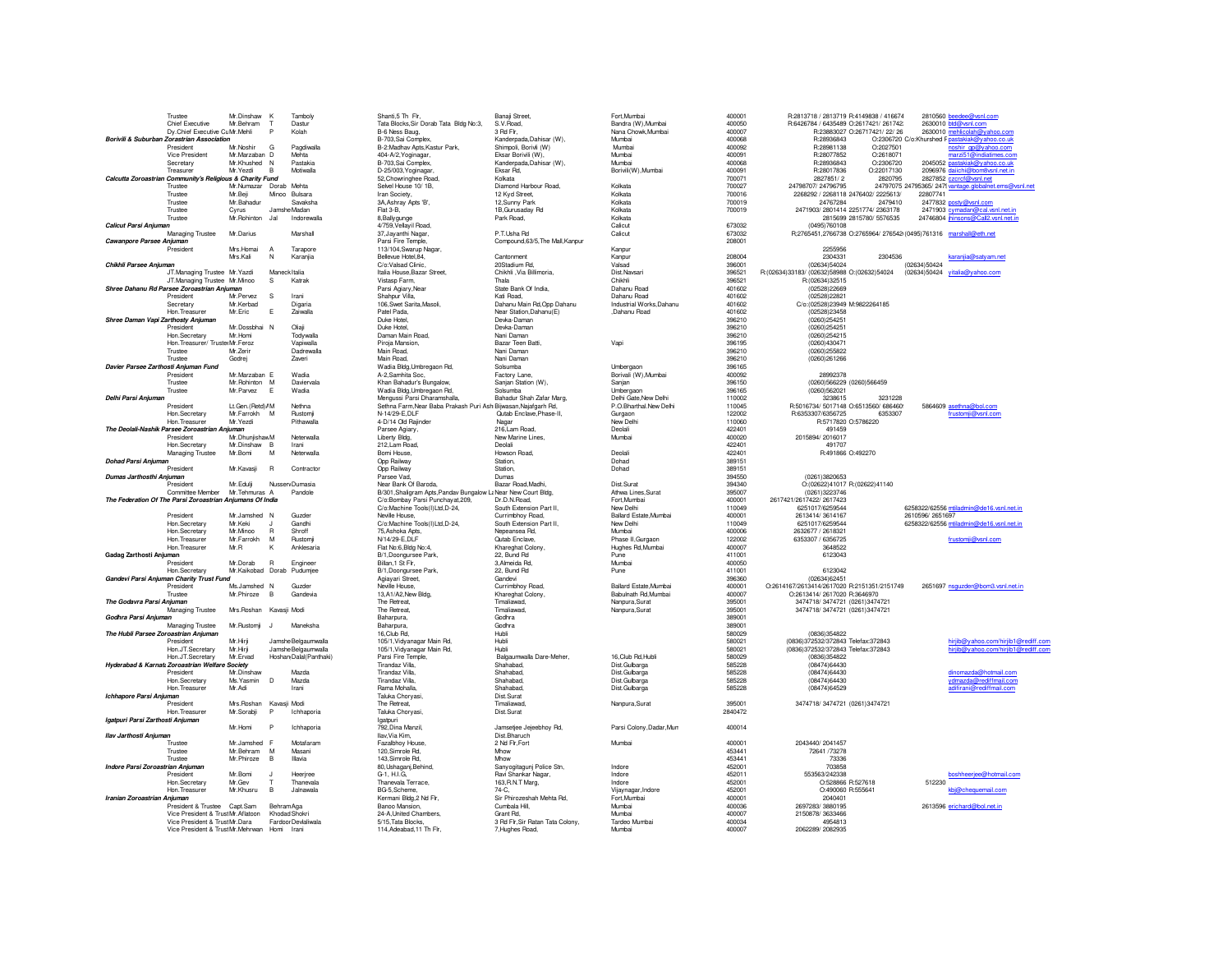|                                                           | Trustee                                                   | Mr.Dinshaw              | К              | Tamboly                    | Shanti, 5 Th Fir,                                               | Banaji Street,                   | Fort, Mumbai             | 400001  | R:2813718 / 2813719 R:4149838 / 416674          |                               | 2810560                |
|-----------------------------------------------------------|-----------------------------------------------------------|-------------------------|----------------|----------------------------|-----------------------------------------------------------------|----------------------------------|--------------------------|---------|-------------------------------------------------|-------------------------------|------------------------|
|                                                           | Chief Executive                                           | Mr. Behram              | $\mathsf{T}$   | Dastur                     | Tata Blocks, Sir Dorab Tata Bldg No:3,                          | S.V. Boad                        | Bandra (W), Mumbai       | 400050  | R:6426784 / 6435489 O:2617421/ 261742:          |                               | 2630010                |
|                                                           | Dy.Chief Executive CuMr.Mehli                             |                         | P              | Kolah                      | B-6 Ness Baug,                                                  | 3 Rd Fir.                        | Nana Chowk, Mumbai       | 400007  |                                                 | R:23883027 O:26717421/ 22/ 26 | 2630010                |
| Borivili & Suburban Zorastrian Association                |                                                           |                         |                |                            | B-703, Sai Complex,                                             | Kanderpada, Dahisar (W),         | Mumbai                   | 400068  | R:28936843                                      |                               | O:2306720 C/o:Khurshed |
|                                                           | President                                                 | Mr. Noshir              | G              | Pandiwalla                 | B-2:Madhav Apts, Kastur Park,                                   | Shimpoli, Borivli (W)            | Mumbai                   | 400092  | R:28981138                                      | O:2027501                     |                        |
|                                                           | Vice President                                            | Mr.Marzaban D           |                | Mehta                      | 404-A/2, Yoginagar,                                             | Eksar Borivili (W).              | Mumbai                   | 400091  | R:28077852                                      | 0:2618071                     |                        |
|                                                           |                                                           |                         |                |                            |                                                                 |                                  |                          |         |                                                 |                               | 2045052                |
|                                                           | Secretary                                                 | Mr.Khushed              | N              | Pastakia                   | B-703, Sai Complex,                                             | Kanderpada, Dahisar (W),         | Mumbai                   | 400068  | R:28936843                                      | O:2306720                     |                        |
|                                                           | Treasurer                                                 | Mr.Yezdi                | $\overline{B}$ | Motiwalla                  | D-25/003, Yoginagar,                                            | Fksar Rd.                        | Borivili(W), Mumbai      | 400091  | R:28017836                                      | O:22017130                    | 2096976                |
| Calcutta Zoroastrian Community's Religious & Charity Fund |                                                           |                         |                |                            | 52, Chowringhee Road,                                           | Kolkata                          |                          | 700071  | 2827851/2                                       | 2820795                       | 2827852                |
|                                                           | Trustee                                                   | Mr.Numazar Dorab Mehta  |                |                            | Selvel House 10/ 1B,                                            | Diamond Harbour Road,            | Kolkata                  | 700027  | 24798707/24796795                               |                               | 24797075 24795365/ 247 |
|                                                           | Trustee                                                   | Mr.Beji                 | Minoo          | Bulsara                    | Iran Society,                                                   | 12 Kyd Street                    | Kolkata                  | 700016  | 2268292 / 2268118 2476402/ 2225613/             |                               | 22807741               |
|                                                           |                                                           |                         |                |                            |                                                                 |                                  |                          |         |                                                 |                               |                        |
|                                                           | Trustee                                                   | Mr.Bahadur              |                | Savaksha                   | 3A, Ashray Apts 'B',                                            | 12, Sunny Park                   | Kolkata                  | 700019  | 24767284                                        | 2479410                       | 2477832                |
|                                                           | Trustee                                                   | Cyrus                   | Jamshe Madan   |                            | Flat 3-B.                                                       | 1B.Gurusaday Rd                  | Kolkata                  | 700019  | 2471903/2801414 2251774/2363178                 |                               | 2471903                |
|                                                           | Trustee                                                   | Mr.Rohinton             | Jal            | Indorewalla                | 8, Bally gunge                                                  | Park Road,                       | Kolkata                  |         |                                                 | 2815699 2815780/ 5576535      | 24746804               |
| Calicut Parsi Anjuman                                     |                                                           |                         |                |                            | 4/759, Vellayil Road,                                           |                                  | Calicut                  | 673032  | (0495)760108                                    |                               |                        |
|                                                           | Managing Trustee                                          | Mr. Darius              |                | Marshall                   | 37, Jayanthi Nagar,                                             | P.T.Usha Rd                      | Calicut                  | 673032  | R;2765451,2766738 O:2765964/ 276542(0495)761316 |                               |                        |
|                                                           |                                                           |                         |                |                            |                                                                 |                                  |                          |         |                                                 |                               |                        |
| Cawanpore Parsee Anjuman                                  |                                                           |                         |                |                            | Parsi Fire Temple,                                              | Compound, 63/5, The Mall, Kanpur |                          | 208001  |                                                 |                               |                        |
|                                                           | President                                                 | Mrs.Homai               | $\overline{A}$ | Tarapore                   | 113/104, Swarup Nagar,                                          |                                  | Kanpur                   |         | 2255956                                         |                               |                        |
|                                                           |                                                           | Mrs.Kali                | N              | Karanjia                   | Bellevue Hotel, 84,                                             | Cantonment                       | Kanpur                   | 208004  | 2304331                                         | 2304536                       |                        |
| Chikhli Parsee Anjuman                                    |                                                           |                         |                |                            | C/o:Valsad Clinic.                                              | 20Stadium Rd,                    | Valsad                   | 396001  | (02634)54024                                    |                               | (02634)50424           |
|                                                           |                                                           |                         |                |                            |                                                                 |                                  | Dist Navsari             | 396521  |                                                 |                               |                        |
|                                                           | JT.Managing Trustee Mr.Yazdi                              |                         | Maneck Italia  |                            | Italia House, Bazar Street                                      | Chikhli , Via Billimoria,        |                          |         | R:(02634)33183/ (02632)58988 O:(02632)54024     |                               | (02634)50424           |
|                                                           | JT.Managing Trustee Mr.Minoo                              |                         | $\mathbb S$    | Katrak                     | Vistasp Farm,                                                   | Thala                            | Chikhli                  | 396521  | R:(02634)32515                                  |                               |                        |
| Shree Dahanu Rd Parsee Zoroastrian Anjuman                |                                                           |                         |                |                            | Parsi Agiary, Near                                              | State Bank Of India,             | Dahanu Road              | 401602  | (02528)22669                                    |                               |                        |
|                                                           | President                                                 | Mr. Pervez              | s              | Irani                      | Shahnur Villa                                                   | Kati Boad.                       | Dahanu Road              | 401602  | (02528)22821                                    |                               |                        |
|                                                           | Secretary                                                 | Mr Kerbad               |                | Digaria                    | 106. Swet Sarita Masoli.                                        | Dahanu Main Rd, Opp Dahanu       | Industrial Works.Dahanu  | 401602  | C/o:(02528)23949 M:9822264185                   |                               |                        |
|                                                           |                                                           |                         |                |                            |                                                                 |                                  |                          |         |                                                 |                               |                        |
|                                                           | Hon. Treasurer                                            | Mr.Eric                 | Ε              | Zaiwalla                   | Patel Pada.                                                     | Near Station, Dahanu(E)          | Dahanu Road              | 401602  | (02528)23458                                    |                               |                        |
| Shree Daman Vapi Zarthosty Anjuman                        |                                                           |                         |                |                            | Duke Hotel,                                                     | Devka-Daman                      |                          | 396210  | (0260)254251                                    |                               |                        |
|                                                           | President                                                 | Mr.Dosshhai N           |                | Oliaii                     | Duke Hotel                                                      | Devka-Daman                      |                          | 396210  | (0260)254251                                    |                               |                        |
|                                                           | Hon, Secretary                                            | Mr. Homi                |                | Todvwalla                  | Daman Main Road.                                                | Nani Daman                       |                          | 396210  | (0260)254215                                    |                               |                        |
|                                                           |                                                           |                         |                |                            |                                                                 |                                  |                          |         |                                                 |                               |                        |
|                                                           | Hon. Treasurer/ TrusterMr. Feroz                          |                         |                | Vapiwalla                  | Piroja Mansion,                                                 | Bazar Teen Batti,                | Vapi                     | 396195  | (0260)430471                                    |                               |                        |
|                                                           | Trustee                                                   | Mr. Zerin               |                | Dadrewalla                 | Main Road,                                                      | Nani Daman                       |                          | 396210  | (0260)255822                                    |                               |                        |
|                                                           | Trustee                                                   | Godrei                  |                | <b>Zaveri</b>              | Main Road.                                                      | Nani Daman                       |                          | 396210  | (0260)261266                                    |                               |                        |
| Davier Parsee Zarthosti Anjuman Fund                      |                                                           |                         |                |                            | Wadia Bldg, Umbregaon Rd,                                       | Solsumba                         | Umbergaon                | 396165  |                                                 |                               |                        |
|                                                           | President                                                 | Mr.Marzaban E           |                | Wadia                      |                                                                 | Factory Lane,                    | Borivali (W), Mumbai     | 400092  | 28992378                                        |                               |                        |
|                                                           |                                                           |                         |                |                            | A-2,Samhita Soc,                                                |                                  |                          |         |                                                 |                               |                        |
|                                                           | Trustee                                                   | Mr.Rohinton M           |                | Daviervala                 | Khan Bahadur's Bungalow.                                        | Sanian Station (W).              | Sanjan                   | 396150  | (0260)566229 (0260)566459                       |                               |                        |
|                                                           | Trustee                                                   | Mr. Parvez              | E              | Wadia                      | Wadia Bldg, Umbregaon Rd,                                       | Solsumba                         | Umbergaon                | 396165  | (0260)562021                                    |                               |                        |
| Delhi Parsi Anjuman                                       |                                                           |                         |                |                            | Mengussi Parsi Dharamshalla,                                    | Bahadur Shah Zafar Marg,         | Delhi Gate, New Delhi    | 110002  | 3238615                                         | 3231228                       |                        |
|                                                           | President                                                 | Lt.Gen.(Retd) / M       |                | Nethna                     | Sethna Farm, Near Baba Prakash Puri Ash Bijwasan, Najafgarh Rd, |                                  | P.O.Bharthal.New Delhi   | 110045  | R:5016734/ 5017148 O:6513560/ 686460!           |                               | 5864609                |
|                                                           |                                                           |                         |                |                            |                                                                 |                                  |                          |         |                                                 |                               |                        |
|                                                           | Hon Secretary                                             | Mr. Farrokh             | M              | Rustomii                   | N-14/29-F.DI F                                                  | Qutab Enclave, Phase-II,         | Gurgaon                  | 122002  | B:6353307/6356725                               | 6353307                       |                        |
|                                                           | Hon Treasurer                                             | Mr. Yezdi               |                | Pithawalla                 | 4-D/14 Old Rajinder                                             | Nagar                            | New Delhi                | 110060  | R:5717820 O:5786220                             |                               |                        |
| The Deolali-Nashik Parsee Zoroastrian Anjuman             |                                                           |                         |                |                            | Parsee Agiary,                                                  | 216, Lam Road,                   | Deolali                  | 422401  | 491459                                          |                               |                        |
|                                                           | President                                                 | Mr.Dhunjishaw M         |                | Neterwalla                 | Liberty Bldg,                                                   | New Marine Lines,                | Mumbai                   | 400020  | 2015894/2016017                                 |                               |                        |
|                                                           | Hon Secretary                                             | Mr.Dinshaw B            |                | Irani                      | 212 Lam Road                                                    | Deolali                          |                          | 422401  | 491707                                          |                               |                        |
|                                                           |                                                           |                         |                |                            |                                                                 |                                  |                          |         |                                                 |                               |                        |
|                                                           | Managing Trustee                                          | Mr.Bomi                 | M              | Neterwalla                 | Bomi House,                                                     | Howson Road,                     | Deolali                  | 422401  | R:491866 O:492270                               |                               |                        |
|                                                           |                                                           |                         |                |                            |                                                                 |                                  |                          |         |                                                 |                               |                        |
|                                                           |                                                           |                         |                |                            |                                                                 | Station.                         | Dohad                    | 389151  |                                                 |                               |                        |
| Dohad Parsi Anjuman                                       |                                                           |                         |                |                            | Opp Railway                                                     |                                  |                          |         |                                                 |                               |                        |
|                                                           | President                                                 | Mr.Kavasii              | $\mathsf{R}$   | Contractor                 | Opp Railway                                                     | Station.                         | Dohad                    | 389151  |                                                 |                               |                        |
| Dumas Jarthosthi Anjuman                                  |                                                           |                         |                |                            | Parsee Vad.                                                     | Dumas                            |                          | 394550  | (0261)3820653                                   |                               |                        |
|                                                           | President                                                 | Mr.Edulji               |                | Nussery Dumasia            | Near Bank Of Baroda,                                            | Bazar Road, Madhi,               | Dist.Surat               | 394340  | O:(02622)41017 R:(02622)41140                   |                               |                        |
|                                                           | Committee Member                                          | Mr.Tehmuras A           |                | Pandole                    | B/301, Shaligram Apts, Pandav Bungalow LaNear New Court Bldg,   |                                  | Athwa Lines, Surat       | 395007  | (0261)3223746                                   |                               |                        |
|                                                           |                                                           |                         |                |                            |                                                                 |                                  |                          |         |                                                 |                               |                        |
|                                                           | The Federation Of The Parsi Zoroastrian Anjumans Of India |                         |                |                            | C/o:Bombay Parsi Punchayat, 209,                                | Dr.D.N.Road,                     | Fort, Mumbai             | 400001  | 2617421/2617422/2617423                         |                               |                        |
|                                                           |                                                           |                         |                |                            | C/o:Machine Tools(I)Ltd,D-24,                                   | South Extension Part II,         | New Delhi                | 110049  | 6251017/6259544                                 |                               | 6258322/62556          |
|                                                           | President                                                 | Mr.Jamshed N            |                | Guzder                     | Neville House,                                                  | Currimbhoy Road,                 | Ballard Estate.Mumbai    | 400001  | 2613414/3614167                                 |                               | 2610596/2651           |
|                                                           | Hon.Secretary                                             | Mr.Keki                 |                | Gandhi                     | C/o:Machine Tools(I)Ltd,D-24,                                   | South Extension Part II,         | New Delhi                | 110049  | 6251017/6259544                                 |                               | 6258322/62556          |
|                                                           | Hon Secretary                                             | Mr.Minoo                |                | Shroff                     |                                                                 | Neneansea Rd.                    | Mumbai                   | 400006  |                                                 |                               |                        |
|                                                           |                                                           |                         | $\mathsf{R}$   |                            | 75, Ashoka Apts,                                                |                                  |                          |         | 2632677 / 2618321                               |                               |                        |
|                                                           | Hon. Treasurer                                            | Mr.Farrokh              | M              | Rustomii                   | N/14/29-E, DLF                                                  | <b>Qutab Enclave</b>             | Phase II, Gurgaon        | 122002  | 6353307 / 6356725                               |                               |                        |
|                                                           | Hon. Treasurer                                            | Mr.R                    | ĸ              | Anklesaria                 | Flat No:6, Bldg No:4,                                           | Khareghat Colony,                | Hughes Rd, Mumbai        | 400007  | 3648522                                         |                               |                        |
| Gadag Zarthosti Anjuman                                   |                                                           |                         |                |                            | B/1, Doongursee Park,                                           | 22, Bund Rd                      | Pune                     | 411001  | 6123043                                         |                               |                        |
|                                                           | President                                                 | Mr.Dorab                | $\mathsf{R}$   | Engineer                   | Billan, 1 St Flr.                                               | 3.Almeida Rd                     | Mumbai                   | 400050  |                                                 |                               |                        |
|                                                           | Hon, Secretary                                            | Mr.Kaikobad Dorab       |                | Pudumiee                   |                                                                 | 22. Bund Rd                      | Pune                     | 411001  | 6123042                                         |                               |                        |
|                                                           |                                                           |                         |                |                            | B/1, Doongursee Park,                                           |                                  |                          |         |                                                 |                               |                        |
| Gandevi Parsi Anjuman Charity Trust Fund                  |                                                           |                         |                |                            | Agiayari Street,                                                | Gandevi                          |                          | 396360  | (02634)62451                                    |                               |                        |
|                                                           | President                                                 | Ms.Jamshed N            |                | Guzder                     | Neville House,                                                  | Currimbhoy Road,                 | Ballard Estate, Mumbai   | 400001  | O:2614167/2613414/2617020 R:2151351/2151749     |                               | 2651697                |
|                                                           | Trustee                                                   | Mr. Phiroze             | <b>B</b>       | Gandevia                   | 13, A1/A2, New Bldg,                                            | Khareghat Colony,                | Babulnath Rd.Mumbai      | 400007  | O:2613414/2617020 R:3646970                     |                               |                        |
| The Godavra Parsi Anjuman                                 |                                                           |                         |                |                            | The Retreat,                                                    | Timaliawad,                      | Nanpura, Surat           | 395001  | 3474718/3474721 (0261)3474721                   |                               |                        |
|                                                           |                                                           |                         |                |                            |                                                                 |                                  |                          |         |                                                 |                               |                        |
|                                                           | Managing Trustee                                          | Mrs.Roshan Kavasji Modi |                |                            | The Retreat,                                                    | Timaliawad,                      | Nanpura, Surat           | 395001  | 3474718/3474721 (0261)3474721                   |                               |                        |
| Godhra Parsi Anjuman                                      |                                                           |                         |                |                            | Baharoura.                                                      | Godhra                           |                          | 389001  |                                                 |                               |                        |
|                                                           | Managing Trustee                                          | Mr.Rustomii             | - 11           | Maneksha                   | Baharoura.                                                      | Godhra                           |                          | 389001  |                                                 |                               |                        |
| The Hubli Parsee Zoroastrian Anjuman                      |                                                           |                         |                |                            | 16, Club Rd.                                                    | Hubli                            |                          | 580029  | (0836)354822                                    |                               |                        |
|                                                           | President                                                 | Mr.Hirii                |                | Jamshe Belgaumwalla        | 105/1, Vidyanagar Main Rd,                                      | Hubli                            |                          | 580021  | (0836)372532/372843 Telefax:372843              |                               |                        |
|                                                           | Hon.JT.Secretary                                          |                         |                | Jamshe Belgaumwalla        |                                                                 | Hubli                            |                          | 580021  |                                                 |                               |                        |
|                                                           |                                                           | Mr.Hirji                |                |                            | 105/1, Vidyanagar Main Rd,                                      |                                  |                          |         | (0836)372532/372843 Telefax:372843              |                               |                        |
|                                                           | Hon.JT.Secretary                                          | Mr Fryad                |                | Hoshan Dalal (Panthaki)    | Parsi Fire Temple.                                              | Balgaumwalla Dare-Meher.         | 16 Club Rd Hubli         | 580029  | (0836)354822                                    |                               |                        |
|                                                           | Hyderabad & Karnata Zoroastrian Welfare Society           |                         |                |                            | Tirandaz Villa,                                                 | Shahabad,                        | Dist.Gulbarga            | 585228  | (08474)64430                                    |                               |                        |
|                                                           | President                                                 | Mr.Dinshaw              |                | Mazda                      | Tirandaz Villa,                                                 | Shahabad,                        | Dist.Gulbarga            | 585228  | (08474)64430                                    |                               |                        |
|                                                           | Hon.Secretary                                             | Ms Yasmin               | D              | Mazda                      | Tirandaz Villa                                                  | Shahabad.                        | Dist.Gulbarga            | 585228  | (08474)64430                                    |                               |                        |
|                                                           | Hon. Treasurer                                            | Mr.Adi                  |                | Irani                      | Rama Mohalla.                                                   | Shahabad.                        |                          | 585228  |                                                 |                               |                        |
|                                                           |                                                           |                         |                |                            |                                                                 |                                  | Dist.Gulbarga            |         | (08474)64529                                    |                               |                        |
| Ichhapore Parsi Anjuman                                   |                                                           |                         |                |                            | Taluka Choryasi,                                                | Dist.Surat                       |                          |         |                                                 |                               |                        |
|                                                           | President                                                 | Mrs.Roshan              | Kavasji Modi   |                            | The Retreat.                                                    | Timaliawad,                      | Nanpura, Surat           | 395001  | 3474718/3474721 (0261)3474721                   |                               |                        |
|                                                           | Hon Treasurer                                             | Mr.Sorabii              | P              | Ichhaporia                 | Taluka Choryasi,                                                | Dist Surat                       |                          | 2840472 |                                                 |                               |                        |
|                                                           |                                                           |                         |                |                            | lgatouri                                                        |                                  |                          |         |                                                 |                               |                        |
| Igatpuri Parsi Zarthosti Anjuman                          |                                                           |                         |                |                            |                                                                 |                                  |                          |         |                                                 |                               |                        |
|                                                           |                                                           | Mr.Homi                 | P              | Ichhaporia                 | 792, Dina Manzil,                                               | Jamsetjee Jejeebhoy Rd,          | Parsi Colony, Dadar, Mun | 400014  |                                                 |                               |                        |
| Ilav Jarthosti Aniuman                                    |                                                           |                         |                |                            | Ilav Via Kim.                                                   | Dist Bharuch                     |                          |         |                                                 |                               |                        |
|                                                           | Trustee                                                   | Mr.Jamshed F            |                | Motafaram                  | Fazalbhoy House.                                                | 2 Nd Flr, Fort                   | Mumbai                   | 400001  | 2043440/2041457                                 |                               |                        |
|                                                           | Trustee                                                   |                         |                | Masani                     |                                                                 | Mhow                             |                          |         |                                                 |                               |                        |
|                                                           |                                                           | Mr.Behram               | M              |                            | 120, Simrole Rd,                                                |                                  |                          | 453441  | 72641 /73278                                    |                               |                        |
|                                                           | Trustee                                                   | Mr.Phiroze              | B              | Illavia                    | 143, Simrole Rd,                                                | Mhow                             |                          | 453441  | 73336                                           |                               |                        |
| Indore Parsi Zoroastrian Aniuman                          |                                                           |                         |                |                            | 80, Ushaganj, Behind,                                           | Sanyogitagunj Police Stn,        | Indore                   | 452001  | 703858                                          |                               |                        |
|                                                           | President                                                 | Mr.Bomi                 | $\mathbf{J}$   | Heerjree                   | G-1, H.I.G,                                                     | Ravi Shankar Nagar,              | Indore                   | 452011  | 553563/242338                                   |                               |                        |
|                                                           | Hon.Secretary                                             | Mr.Gev                  |                | Thanevala                  | Thanevala Terrace,                                              | 163, R.N.T Marg,                 | Indore                   | 452001  | O:528866 R:527618                               |                               | 512230                 |
|                                                           |                                                           |                         |                |                            |                                                                 |                                  |                          |         |                                                 |                               |                        |
|                                                           | Hon. Treasurer                                            | Mr.Khusru               | В              | Jalnawala                  | BG-5,Scheme,                                                    | 74-C.                            | Vijaynagar, Indore       | 452001  | O:490060 R:555641                               |                               |                        |
| Iranian Zoroastrian Aniuman                               |                                                           |                         |                |                            | Kermani Bldg,2 Nd Flr.                                          | Sir Phirozeshah Mehta Rd.        | Fort Mumbai              | 400001  | 2040401                                         |                               |                        |
|                                                           | President & Trustee Capt.Sam                              |                         | Behram Aga     |                            | Banoo Mansion,                                                  | Cumbala Hill                     | Mumbai                   | 400036  | 2697283/3880195                                 |                               | 2613596                |
|                                                           | Vice President & TrustMr.Aflatoon                         |                         | Khodad Shokri  |                            | 24-A, United Chambers,                                          | Grant Rd.                        | Mumbai                   | 400007  | 2150878/3633466                                 |                               |                        |
|                                                           | Vice President & TrustMr.Dara                             |                         |                | <b>Fardoor Devialiwala</b> | 5/15, Tata Blocks,                                              | 3 Rd Flr, Sir Ratan Tata Colony, | Tardeo Mumbai            | 400034  | 4954813                                         |                               |                        |

| Banaji Street,                                        | Fort, Mumbai                                    | 400001           | R:2813718 / 2813719                      |
|-------------------------------------------------------|-------------------------------------------------|------------------|------------------------------------------|
| S.V.Road,                                             | Bandra (W), Mumbai                              | 400050<br>400007 | R:6426784 / 6435489<br><b>R-23883027</b> |
| 3 Rd Flr,                                             | Nana Chowk, Mumbai<br>Mumbai                    | 400068           | R:28936843                               |
| Kanderpada, Dahisar (W),<br>Shimpoli, Borivli (W)     | Mumbai                                          | 400092           | R:28981138                               |
| Eksar Borivili (W).                                   | Mumbai                                          | 400091           | R:28077852                               |
| Kanderpada, Dahisar (W),                              | Mumbai                                          | 400068           | R:28936843                               |
| Eksar Rd,                                             | Borivili(W), Mumbai                             | 400091           | R:28017836                               |
| Kolkata                                               |                                                 | 700071           | 2827851/2                                |
| Diamond Harbour Road,                                 | Kolkata                                         | 700027           | 24798707/24796795                        |
| 12 Kyd Street,                                        | Kolkata                                         | 700016           | 2268292 / 2268118                        |
| 12, Sunny Park                                        | Kolkata                                         | 700019           | 24767284                                 |
| 1B, Gurusaday Rd                                      | Kolkata                                         | 700019           | 2471903/2801414                          |
| Park Road.                                            | Kolkata<br>Calicut                              | 673032           | 2815699<br>(0495)760108                  |
| P.T.Usha Rd                                           | Calicut                                         | 673032           | R;2765451,2766738                        |
| Compound, 63/5, The Mall, Kanpur                      |                                                 | 208001           |                                          |
|                                                       | Kanpur                                          |                  | 2255956                                  |
| Cantonment                                            | Kanpur                                          | 208004           | 2304331                                  |
| 20Stadium Rd,                                         | Valsad                                          | 396001           | (02634)54024                             |
| Chikhli , Via Billimoria,                             | Dist.Navsari                                    | 396521           | R:(02634)33183/ (02632)58988             |
| Thala                                                 | Chikhli                                         | 396521           | R:(02634)32515                           |
| State Bank Of India,<br>Kati Boad.                    | Dahanu Road<br>Dahanu Boad                      | 401602<br>401602 | (02528)22669                             |
| Dahanu Main Rd, Opp Dahanu                            | Industrial Works, Dahanu                        | 401602           | (02528)22821<br>C/o:(02528)23949         |
| Near Station, Dahanu(E)                               | ,Dahanu Road                                    | 401602           | (02528)23458                             |
| Devka-Daman                                           |                                                 | 396210           | (0260)254251                             |
| Devka-Daman                                           |                                                 | 396210           | (0260)254251                             |
| Nani Daman                                            |                                                 | 396210           | (0260)254215                             |
| Bazar Teen Batti,                                     | Vapi                                            | 396195           | (0260)430471                             |
| Nani Daman                                            |                                                 | 396210           | (0260)255822                             |
| Nani Daman                                            |                                                 | 396210           | (0260)261266                             |
| Solsumba                                              | Umbergaon                                       | 396165           |                                          |
| Factory Lane,                                         | Borivali (W), Mumbai                            | 400092           | 28992378                                 |
| Sanjan Station (W),                                   | Sanjan                                          | 396150           | (0260)566229                             |
| Solsumba                                              | Umbergaon                                       | 396165<br>110002 | (0260)562021                             |
| Bahadur Shah Zafar Marg,<br>h Bijwasan, Najafgarh Rd, | Delhi Gate, New Delhi<br>P.O.Bharthal.New Delhi | 110045           | 3238615<br>R:5016734/ 5017148            |
| Qutab Enclave, Phase-II,                              | Gurgaon                                         | 122002           | R:6353307/6356725                        |
| Nagar                                                 | New Delhi                                       | 110060           | R:5717820                                |
| 216, Lam Road,                                        | Deolali                                         | 422401           | 491459                                   |
| New Marine Lines,                                     | Mumbai                                          | 400020           | 2015894/2016017                          |
| Deolali                                               |                                                 | 422401           | 491707                                   |
| Howson Road.                                          | Deolali                                         | 422401           | R:491866                                 |
| Station,                                              | Dohad                                           | 389151           |                                          |
| Station.                                              | Dohad                                           | 389151           |                                          |
| Dumas                                                 |                                                 | 394550           | (0261)3820653                            |
| Bazar Road, Madhi,                                    | Dist.Surat                                      | 394340<br>395007 | O:(02622)41017                           |
| . Near New Court Bldg,<br>Dr.D.N.Road.                | Athwa Lines, Surat<br>Fort.Mumbai               | 400001           | (0261)3223746<br>2617421/2617422/2617423 |
| South Extension Part II,                              | New Delhi                                       | 110049           | 6251017/6259544                          |
| Currimbhoy Road,                                      | Ballard Estate, Mumbai                          | 400001           | 2613414/3614167                          |
| South Extension Part II.                              | New Delhi                                       | 110049           | 6251017/6259544                          |
| Nepeansea Rd,                                         | Mumbai                                          | 400006           | 2632677 / 2618321                        |
| Qutab Enclave,                                        | Phase II, Gurgaon                               | 122002           | 6353307 / 6356725                        |
| Khareghat Colony,                                     | Hughes Rd, Mumbai                               | 400007           | 3648522                                  |
| 22, Bund Rd                                           | Pune                                            | 411001           | 6123043                                  |
| 3, Almeida Rd,                                        | Mumbai                                          | 400050           |                                          |
| 22, Bund Rd                                           | Pune                                            | 411001           | 6123042                                  |
| Gandevi                                               |                                                 | 396360           | (02634)62451                             |
| Currimbhoy Road,                                      | Ballard Estate, Mumbai                          | 400001           | O:2614167/2613414/2617020                |
| Khareghat Colony,<br>Timaliawad.                      | Babulnath Rd, Mumbai<br>Nannura Surat           | 400007<br>395001 | O:2613414/2617020<br>3474718/3474721     |
| Timaliawad.                                           |                                                 | 395001           |                                          |
| Godhra                                                | Nanpura, Surat                                  | 389001           | 3474718/3474721                          |
| Godhra                                                |                                                 | 389001           |                                          |
| Hubli                                                 |                                                 | 580029           | (0836)354822                             |
| Hubli                                                 |                                                 | 580021           | (0836)372532/372843                      |
| Hubli                                                 |                                                 | 580021           | (0836)372532/372843                      |
| Balgaumwalla Dare-Meher,                              | 16, Club Rd, Hubli                              | 580029           | (0836)354822                             |
| Shahabad.                                             | Dist.Gulbarga                                   | 585228           | (08474)64430                             |
| Shahabad,                                             | Dist.Gulbarga                                   | 585228           | (08474)64430                             |
| Shahabad,                                             | Dist.Gulbarga                                   | 585228           | (08474)64430                             |
| Shahahad.<br>Dist Surat                               | Dist.Gulbarga                                   | 585228           | (08474)64529                             |
| Timaliawad.                                           | Nanpura, Surat                                  | 395001           | 3474718/3474721                          |
| Dist.Surat                                            |                                                 | 2840472          |                                          |
| Jamsetjee Jejeebhoy Rd,                               | Parsi Colony, Dadar, Mun                        | 400014           |                                          |
| Dist.Bharuch                                          |                                                 |                  |                                          |
| 2 Nd Fir.Fort                                         | Mumbai                                          | 400001           | 2043440/2041457                          |
| Mhow                                                  |                                                 | 453441           | 72641 /73278                             |
| Mhow                                                  |                                                 | 453441           | 73336                                    |
| Sanyogitagunj Police Stn.                             | Indore                                          | 452001           | 703858                                   |
| Ravi Shankar Nagar.                                   | Indore                                          | 452011           | 553563/242338                            |
| 163, R.N.T Marg,                                      | Indore                                          | 452001           | O:528866                                 |
| 74-C.<br>Sir Phirozeshah Mehta Rd.                    | Vijaynagar, Indore<br>Fort Mumbai               | 452001<br>400001 | 0:490060<br>2040401                      |
|                                                       | Mumbai                                          | 400036           |                                          |
| Cumbala Hill,<br>Grant Rd.                            | Mumbai                                          | 400007           | 2697283/3880195<br>2150878/3633466       |
| 3 Rd Flr, Sir Ratan Tata Colony,                      | Tardeo Mumbai                                   | 400034           | 4954813                                  |
|                                                       |                                                 |                  |                                          |

| Trustee                                     | Mr.Dinshaw                 | к              | Tamboly                 | Shanti.5 Th Fir.                                                | Banaii Street.                   | Fort.Mumba               | 400001  | R:2813718 / 2813719 R:4149838 / 416674                           | 2810560 beedee@vsnl.com                                |
|---------------------------------------------|----------------------------|----------------|-------------------------|-----------------------------------------------------------------|----------------------------------|--------------------------|---------|------------------------------------------------------------------|--------------------------------------------------------|
| Chief Executive                             | Mr.Behram                  | T              | Dastur                  | Tata Blocks, Sir Dorab Tata Bldg No:3,                          | S.V.Road.                        | Bandra (W), Mumbai       | 400050  | R:6426784 / 6435489 O:2617421/ 261742;                           | 2630010 btd@vsnl.com                                   |
| Dy.Chief Executive Cu Mr.Mehli              |                            | P              | Kolah                   | B-6 Ness Baug,                                                  | 3 Rd Fir.                        | Nana Chowk, Mumbai       | 400007  | R:23883027 O:26717421/ 22/ 26                                    | 2630010 mehlicolah@yahoo.com                           |
| orastrian Association                       |                            |                |                         | B-703, Sai Complex,                                             | Kanderpada, Dahisar (W),         | Mumbai                   | 400068  | R:28936843                                                       | O:2306720 C/o:Khurshed Fpastakiak@yahoo.co.uk          |
|                                             | Mr.Noshir                  |                |                         | B-2:Madhav Apts, Kastur Park,                                   |                                  | Mumba                    | 400092  | R:28981138<br>O:2027501                                          |                                                        |
| President                                   |                            | G              | Pagdiwalla              |                                                                 | Shimpoli, Borivli (W)            |                          |         |                                                                  | noshir qp@yahoo.com                                    |
| Vice President                              | Mr.Marzaban D              |                | Mehta                   | 404-A/2. Yoginagar.                                             | Eksar Borivili (W),              | Mumbai                   | 400091  | R:28077852<br>O:2618071                                          | marzi51@indiatimes.com                                 |
| Secretary                                   | Mr. Khushed N              |                | Pastakia                | B-703.Sai Complex.                                              | Kanderpada, Dahisar (W),         | Mumbai                   | 400068  | O:2306720<br>R:28936843                                          | 2045052 pastakiak@yahoo.co.uk                          |
| Treasure                                    | Mr.Yezdi                   | <b>B</b>       | Motiwalla               | D-25/003, Yoginagar                                             | Eksar Rd,                        | Borivili(W), Mumbai      | 400091  | R:28017836<br>O:22017130                                         | 2096976 daichi@bom8vsnl.net.in                         |
| Community's Religious & Charity Fund        |                            |                |                         | 52, Chowringhee Road,                                           | Kolkata                          |                          | 700071  | 2827851/2<br>2820795                                             | 2827852 czcrcf@vsnl.net                                |
|                                             |                            |                |                         |                                                                 |                                  |                          |         |                                                                  |                                                        |
| Trustee                                     | Mr.Numazar                 | Dorab Mehta    |                         | Selvel House 10/1B.                                             | Diamond Harbour Road,            | Kolkata                  | 700027  | 24798707/24796795                                                | 24797075 24795365/ 2479 vantage.globalnet.ems@vsnl.net |
| Trustee                                     | Mr.Beii                    |                | Minoo Bulsara           | Iran Society.                                                   | 12 Kyd Street,                   | Kolkata                  | 700016  | 2268292 / 2268118 2476402/ 2225613/                              | 22807741                                               |
| Trustee                                     | Mr.Bahadur                 |                | Savaksha                | 3A, Ashray Apts 'B',                                            | 12, Sunny Park                   | Kolkata                  | 700019  | 24767284<br>2479410                                              | 2477832 posty@vsnl.com                                 |
|                                             |                            |                |                         |                                                                 |                                  |                          |         |                                                                  |                                                        |
| Trustee                                     | Cyrus                      | Jamshe Madan   |                         | Flat 3-B.                                                       | 1B, Gurusaday Rd                 | Kolkata                  | 700019  | 2471903/2801414 2251774/2363178                                  | 2471903 cymadan@cal.vsnl.net.in                        |
| Trustee                                     | Mr.Rohinton Jal            |                | Indorewalla             | 8, Bally gunge                                                  | Park Road.                       | Kolkata                  |         | 2815699 2815780/ 5576535                                         | 24746804 jhinsons@Call2.vsnl.net.in                    |
|                                             |                            |                |                         | 4/759, Vellayil Road,                                           |                                  | Calicut                  | 673032  | (0495)760108                                                     |                                                        |
|                                             |                            |                |                         |                                                                 |                                  |                          |         |                                                                  |                                                        |
| Managing Trustee                            | Mr.Darius                  |                | Marshall                | 37, Jayanthi Nagar,                                             | P.T.Usha Rd                      | Calicut                  | 673032  | R;2765451,2766738 O:2765964/ 276542(0495)761316 marshall@eth.net |                                                        |
| niuman                                      |                            |                |                         | Parsi Fire Temple,                                              | Compound, 63/5, The Mall, Kanpur |                          | 208001  |                                                                  |                                                        |
| President                                   | Mrs. Homai                 | $\overline{A}$ | Tarapore                | 113/104.Swarup Nagar.                                           |                                  | Kanpur                   |         | 2255956                                                          |                                                        |
|                                             |                            |                |                         |                                                                 |                                  |                          |         |                                                                  |                                                        |
|                                             | Mrs.Kali                   | N              | Karanija                | Bellevue Hotel, 84,                                             | Cantonment                       | Kanpur                   | 208004  | 2304331<br>2304536                                               | karanjia@satyam.net                                    |
| an                                          |                            |                |                         | C/o:Valsad Clinic,                                              | 20Stadium Rd                     | Valsad                   | 396001  | (02634)54024                                                     | (02634)50424                                           |
| JT.Managing Trustee Mr.Yazdi                |                            | Maneck Italia  |                         | Italia House, Bazar Street,                                     | Chikhli , Via Billimoria,        | Dist.Navsari             | 396521  | R:(02634)33183/ (02632)58988 O:(02632)54024                      | (02634)50424 yitalia@yahoo.com                         |
| JT.Managing Trustee Mr.Minoo                |                            | <sub>S</sub>   | Katrak                  | Vistaso Farm.                                                   | Thala                            | Chikhli                  | 396521  | R:(02634)32515                                                   |                                                        |
|                                             |                            |                |                         |                                                                 |                                  |                          |         |                                                                  |                                                        |
| see Zoroastrian Anjuman                     |                            |                |                         | Parsi Agiary, Near                                              | State Bank Of India,             | Dahanu Road              | 401602  | (02528)22669                                                     |                                                        |
| President                                   | Mr.Pervez                  | s              | Irani                   | Shahpur Villa.                                                  | Kati Road.                       | Dahanu Road              | 401602  | (02528)22821                                                     |                                                        |
| Secretary                                   | Mr.Kerbad                  |                | Digaria                 | 106, Swet Sarita, Masoli,                                       | Dahanu Main Rd, Opp Dahanu       | Industrial Works, Dahanu | 401602  | C/o:(02528)23949 M:9822264185                                    |                                                        |
|                                             |                            |                |                         |                                                                 |                                  |                          |         |                                                                  |                                                        |
| Hon Treasure                                | Mr. Fric.                  | E              | <b>Zaiwalla</b>         | Patel Pada                                                      | Near Station, Dahanu(E)          | Dahanu Boad              | 401602  | (02528)23458                                                     |                                                        |
| rthosty Aniuman                             |                            |                |                         | Duke Hotel                                                      | Devka-Damar                      |                          | 396210  | (0260)254251                                                     |                                                        |
| President                                   | Mr.Dossbhai N              |                | Oliaji                  | Duke Hotel.                                                     | Devka-Daman                      |                          | 396210  | (0260)254251                                                     |                                                        |
|                                             | Mr. Homi                   |                |                         |                                                                 |                                  |                          |         | (0260)254215                                                     |                                                        |
| Hon, Secretary                              |                            |                | Todywalla               | Daman Main Road,                                                | Nani Daman                       |                          | 396210  |                                                                  |                                                        |
| Hon. Treasurer/ Truste Mr. Feroz            |                            |                | Vaniwalla               | Piroia Mansion                                                  | Bazar Teen Batti                 | Vapi                     | 396195  | (0260)430471                                                     |                                                        |
| Trustee                                     | Mr. Zerin                  |                | Dadrewalla              | Main Road                                                       | Nani Damar                       |                          | 396210  | (0260)255822                                                     |                                                        |
|                                             | Godrei                     |                |                         |                                                                 | Nani Damar                       |                          | 396210  |                                                                  |                                                        |
| Trustee                                     |                            |                | Zaveri                  | Main Road,                                                      |                                  |                          |         | (0260)261266                                                     |                                                        |
| sti Aniuman Fund                            |                            |                |                         | Wadia Bldg, Umbregaon Rd,                                       | Solsumba                         | Umbergaon                | 396165  |                                                                  |                                                        |
| President                                   | Mr.Marzaban E              |                | Wadia                   | A-2.Samhita Soc.                                                | Factory Lane.                    | Borivali (W).Mumbai      | 400092  | 28992378                                                         |                                                        |
|                                             | Mr.Rohinton                |                |                         |                                                                 |                                  |                          |         |                                                                  |                                                        |
| Trustee                                     |                            | M              | Daviervala              | Khan Bahadur's Bungalow,                                        | Sanjan Station (W),              | Sanjan                   | 396150  | (0260)566229 (0260)566459                                        |                                                        |
| Trustee                                     | Mr.Parvez                  | E              | Wadia                   | Wadia Bldg, Umbregaon Rd,                                       | Solsumba                         | Umbergaon                | 396165  | (0260)562021                                                     |                                                        |
|                                             |                            |                |                         | Mengussi Parsi Dharamshalla                                     | Bahadur Shah Zafar Marg.         | Delhi Gate, New Delhi    | 110002  | 3238615<br>3231228                                               |                                                        |
| President                                   | Lt.Gen.(Retd) / M          |                | Nethna                  | Sethna Farm, Near Baba Prakash Puri Ash Bijwasan, Najafgarh Rd, |                                  | P.O. Bharthal, New Delhi | 110045  | B:5016734/ 5017148 O:6513560/ 686460                             | 5864609 asethna@bol.com                                |
|                                             |                            |                |                         |                                                                 |                                  |                          |         |                                                                  |                                                        |
| Hon, Secretary                              | Mr.Farrokh M               |                | Rustomji                | N-14/29-E, DLF                                                  | Qutab Enclave, Phase-II,         | Gurgaon                  | 122002  | B:6353307/6356725<br>6353307                                     | frustomji@vsnl.com                                     |
| Hon, Treasurer                              | Mr. Yezdi                  |                | Pithawalla              | 4-D/14 Old Rajinder                                             | Nagar                            | New Delhi                | 110060  | R:5717820 O:5786220                                              |                                                        |
| rsee Zoroastrian Aniuman                    |                            |                |                         | Parsee Agiary.                                                  | 216, Lam Road,                   | Deolali                  | 422401  | 491459                                                           |                                                        |
|                                             |                            |                |                         |                                                                 |                                  |                          | 400020  |                                                                  |                                                        |
| President                                   | Mr.Dhuniishaw M            |                | Neterwalla              | Liberty Bldg.                                                   | New Marine Lines.                | Mumbai                   |         | 2015894/2016017                                                  |                                                        |
| Hon.Secretary                               | Mr.Dinshaw B               |                | Irani                   | 212.Lam Road                                                    | Deolali                          |                          | 422401  | 491707                                                           |                                                        |
| Managing Trustee                            | Mr. Bomi                   | M              | Neterwalla              | Bomi House,                                                     | Howson Road,                     | Deolali                  | 422401  | R:491866 O:492270                                                |                                                        |
|                                             |                            |                |                         | Opp Railway                                                     |                                  | Dohad                    | 389151  |                                                                  |                                                        |
|                                             |                            |                |                         |                                                                 | Station.                         |                          |         |                                                                  |                                                        |
| President                                   | Mr.Kavasii                 | $\overline{R}$ | Contractor              | Opp Railway                                                     | Station.                         | Dohad                    | 389151  |                                                                  |                                                        |
|                                             |                            |                |                         |                                                                 |                                  |                          |         |                                                                  |                                                        |
|                                             |                            |                |                         |                                                                 |                                  |                          |         |                                                                  |                                                        |
| uman                                        |                            |                |                         | Parsee Vad                                                      | Dumas                            |                          | 394550  | (0261)3820653                                                    |                                                        |
| President                                   | Mr.Edulji                  |                | Nusserv Dumasia         | Near Bank Of Baroda,                                            | Bazar Road, Madhi,               | Dist.Surat               | 394340  | O:(02622)41017 R:(02622)41140                                    |                                                        |
| Committee Member                            | Mr.Tehmuras A              |                | Pandole                 | B/301, Shaligram Apts, Pandav Bungalow La Near New Court Bldg,  |                                  | Athwa Lines.Surat        | 395007  | (0261)3223746                                                    |                                                        |
| e Parsi Zoroastrian Aniumans Of India       |                            |                |                         |                                                                 | Dr.D.N.Road                      | Fort Mumbai              | 400001  | 2617421/2617422/2617423                                          |                                                        |
|                                             |                            |                |                         | C/o:Bombay Parsi Punchayat, 209.                                |                                  |                          |         |                                                                  |                                                        |
|                                             |                            |                |                         | C/o:Machine Tools(I)Ltd,D-24,                                   | South Extension Part II,         | New Delhi                | 110049  | 6251017/6259544                                                  | 6258322/62556 mtiladmin@de16.vsnl.net.in               |
| President                                   | Mr.Jamshed N               |                | Guzder                  | Neville House,                                                  | Currimbhoy Road,                 | Ballard Estate, Mumbai   | 400001  | 2613414/3614167                                                  | 2610596/2651697                                        |
| Hon Secretary                               | Mr. Keki                   | $\cdot$        | Gandhi                  |                                                                 | South Extension Part II.         | New Delhi                | 110049  | 6251017/6259544                                                  |                                                        |
|                                             |                            |                |                         | C/o:Machine Tools(I)Ltd,D-24,                                   |                                  |                          |         |                                                                  | 6258322/62556: mtiladmin@de16.vsnl.net.in              |
| Hon.Secretary                               | Mr.Minoo                   | $\mathsf{R}$   | Shroff                  | 75, Ashoka Apts.                                                | Nepeansea Rd.                    | Mumbai                   | 400006  | 2632677 / 2618321                                                |                                                        |
| Hon. Treasurer                              | Mr.Farrokh                 | M              | Rustomii                | N/14/29-E, DLF                                                  | Qutab Enclave.                   | Phase II, Gurgaon        | 122002  | 6353307 / 6356725                                                | frustomji@vsnl.com                                     |
| Hon, Treasurer                              | Mr.R                       | K              | Anklesaria              |                                                                 |                                  |                          | 400007  | 3648522                                                          |                                                        |
|                                             |                            |                |                         | Flat No:6, Bldg No:4,                                           | Khareghat Colony,                | Hughes Rd, Mumbai        |         |                                                                  |                                                        |
| man                                         |                            |                |                         | B/1, Doongursee Park,                                           | 22. Bund Rd                      | Pune                     | 411001  | 6123043                                                          |                                                        |
| President                                   | Mr.Dorab                   | <b>R</b>       | Engineer                | Billan, 1 St Flr,                                               | 3.Almeida Rd.                    | Mumbai                   | 400050  |                                                                  |                                                        |
|                                             |                            |                |                         |                                                                 |                                  | Pune                     |         |                                                                  |                                                        |
| Hon. Secretary                              | Mr.Kaikobad Dorab Pudumjee |                |                         | B/1, Doongursee Park,                                           | 22, Bund Rd                      |                          | 411001  | 6123042                                                          |                                                        |
| <b>In Charity Trust Fund</b>                |                            |                |                         | Agiayari Street                                                 | Gandevi                          |                          | 396360  | (02634)62451                                                     |                                                        |
| President                                   | Ms. Jamshed N              |                | Guzder                  | Neville House.                                                  | Currimbhoy Boad.                 | Ballard Estate, Mumbai   | 400001  | O:2614167/2613414/2617020 R:2151351/2151749                      | 2651697 nsquzder@bom3.vsnl.net.in                      |
| Trustee                                     | Mr.Phiroze                 | B              | Gandevia                | 13, A1/A2, New Bldg,                                            | Khareghat Colony,                | Babulnath Rd, Mumbai     | 400007  | O:2613414/ 2617020 R:3646970                                     |                                                        |
|                                             |                            |                |                         |                                                                 |                                  |                          |         |                                                                  |                                                        |
| <b>ijuman</b>                               |                            |                |                         | The Retreat                                                     | Timaliawad.                      | Nanpura, Surat           | 395001  | 3474718/3474721 (0261)3474721                                    |                                                        |
| Managing Trustee                            | Mrs.Roshan Kavasji Modi    |                |                         | The Retreat                                                     | Timaliawad.                      | Nanoura, Surat           | 395001  | 3474718/3474721 (0261)3474721                                    |                                                        |
|                                             |                            |                |                         | Baharoura.                                                      | Godhra                           |                          | 389001  |                                                                  |                                                        |
|                                             | Mr.Rustomji                | J              | Maneksha                |                                                                 | Godhra                           |                          | 389001  |                                                                  |                                                        |
| Managing Trustee                            |                            |                |                         | Baharpura,                                                      |                                  |                          |         |                                                                  |                                                        |
| oastrian Anjuman                            |                            |                |                         | 16.Club Rd.                                                     | Hubli                            |                          | 580029  | (0836)354822                                                     |                                                        |
| President                                   | Mr. Hirii                  |                | Jamshe Belgaumwalla     | 105/1, Vidyanagar Main Rd,                                      | Hubli                            |                          | 580021  | (0836)372532/372843 Telefax:372843                               | hirjib@yahoo.com/hirjib1@rediff.com                    |
| Hon.JT.Secretary                            | Mr.Hirii                   |                | Jamshe Belgaumwalla     | 105/1, Vidyanagar Main Rd,                                      | Hubli                            |                          | 580021  | (0836)372532/372843 Telefax:372843                               | hirjib@yahoo.com/hirjib1@rediff.com                    |
|                                             |                            |                |                         |                                                                 |                                  |                          |         |                                                                  |                                                        |
| Hon.JT.Secretary                            | Mr.Ervad                   |                | Hoshan Dalal (Panthaki) | Parsi Fire Temple                                               | Balgaumwalla Dare-Meher,         | 16, Club Rd, Hubli       | 580029  | (0836)354822                                                     |                                                        |
| Zoroastrian Welfare Society                 |                            |                |                         | Tirandaz Villa.                                                 | Shahabad                         | Dist.Gulbarga            | 585228  | (08474)64430                                                     |                                                        |
| President                                   | Mr.Dinshaw                 |                | Mazda                   | Tirandaz Villa.                                                 | Shahabad                         | Dist.Gulbarga            | 585228  | (08474)64430                                                     | dinomazda@hotmail.com                                  |
|                                             | Ms Yasmin                  |                | Mazda                   | Tirandaz Villa.                                                 | Shahahad.                        |                          | 585228  | (08474)64430                                                     |                                                        |
| Hon.Secretary                               |                            | D              |                         |                                                                 |                                  | Dist.Gulbarga            |         |                                                                  | ydmazda@rediffmail.com                                 |
| Hon. Treasurer                              | Mr.Adi                     |                | Irani                   | Rama Mohalla                                                    | Shahabad                         | Dist.Gulbarga            | 585228  | (08474)64529                                                     | adifirani@rediffmail.com                               |
| man                                         |                            |                |                         | Taluka Chorvasi                                                 | Dist.Surat                       |                          |         |                                                                  |                                                        |
| President                                   | Mrs.Roshan Kavasji Modi    |                |                         | The Retreat                                                     | Timaliawad.                      | Nanpura, Surat           | 395001  | 3474718/3474721 (0261)3474721                                    |                                                        |
|                                             |                            | P              |                         |                                                                 |                                  |                          |         |                                                                  |                                                        |
| Hon Treasurer                               | Mr.Sorabii                 |                | Ichhaporia              | Taluka Chorvasi.                                                | Dist.Surat                       |                          | 2840472 |                                                                  |                                                        |
| ti Anjuman                                  |                            |                |                         | Igatpuri                                                        |                                  |                          |         |                                                                  |                                                        |
|                                             |                            |                |                         |                                                                 |                                  |                          |         |                                                                  |                                                        |
|                                             | Mr.Homi                    | P              | Ichhaporia              | 792, Dina Manzil,                                               | Jamsetjee Jejeebhoy Rd,          | Parsi Colony, Dadar, Mun | 400014  |                                                                  |                                                        |
|                                             |                            |                |                         | Ilav Via Kim                                                    | Dist Bharuch                     |                          |         |                                                                  |                                                        |
| Trustee                                     | Mr.Jamshed F               |                | Motafaram               | Fazalbhoy House,                                                | 2 Nd Fir.Fort                    | Mumbai                   | 400001  | 2043440/2041457                                                  |                                                        |
|                                             |                            |                |                         |                                                                 |                                  |                          |         |                                                                  |                                                        |
| Trustee                                     | Mr.Behram                  | M              | Masani                  | 120, Simrole Rd,                                                | Mhow                             |                          | 453441  | 72641 /73278                                                     |                                                        |
| Trustee                                     | Mr.Phiroze                 | B              | Illavia                 | 143, Simrole Rd,                                                | Mhow                             |                          | 453441  | 73336                                                            |                                                        |
| ian Aniumar                                 |                            |                |                         | 80, Ushaganj, Behind,                                           | Sanyogitagunj Police Stn,        | Indore                   | 452001  | 703858                                                           |                                                        |
| President                                   |                            | $\overline{a}$ | Heeriree                | G-1, H.I.G.                                                     | Ravi Shankar Nagar.              | Indore                   | 452011  | 553563/242338                                                    |                                                        |
|                                             | Mr.Bomi                    |                |                         |                                                                 |                                  |                          |         |                                                                  | boshheerjee@hotmail.com                                |
| Hon.Secretary                               | Mr.Gev                     | $\mathsf{T}$   | Thanevala               | Thanevala Terrace,                                              | 163, R.N.T Marg,                 | Indore                   | 452001  | O:528866 R:527618                                                | 512230                                                 |
| Hon. Treasurer                              | Mr.Khusru                  | B              | Jalnawala               | BG-5,Scheme,                                                    | 74-C.                            | Vijaynagar, Indore       | 452001  | O:490060 R:555641                                                | kbj@chequemail.com                                     |
| niuman                                      |                            |                |                         | Kermani Bldg,2 Nd Flr,                                          | Sir Phirozeshah Mehta Rd,        | Fort.Mumbai              | 400001  | 2040401                                                          |                                                        |
|                                             |                            |                |                         |                                                                 |                                  |                          |         |                                                                  |                                                        |
| President & Trustee Capt.Sam                |                            | Behram Aga     |                         | Banoo Mansion,                                                  | Cumbala Hill.                    | Mumbai                   | 400036  | 2697283/3880195                                                  | 2613596 erichard@bol.net.in                            |
| Vice President & TrustMr.Aflatoon           |                            | Khodad Shokr   |                         | 24-A, United Chambers,                                          | Grant Rd.                        | Mumbai                   | 400007  | 2150878/3633466                                                  |                                                        |
| Vice President & TrustMr.Dara               |                            |                | Fardoor Devlaliwala     | 5/15. Tata Blocks.                                              | 3 Rd Flr, Sir Ratan Tata Colony, | Tardeo Mumbai            | 400034  | 4954813                                                          |                                                        |
| Vice President & TrustMr.Mehrwan Homi Irani |                            |                |                         | 114, Adeabad, 11 Th Flr,                                        | 7.Hughes Road.                   | Mumbai                   | 400007  | 2062289/2082935                                                  |                                                        |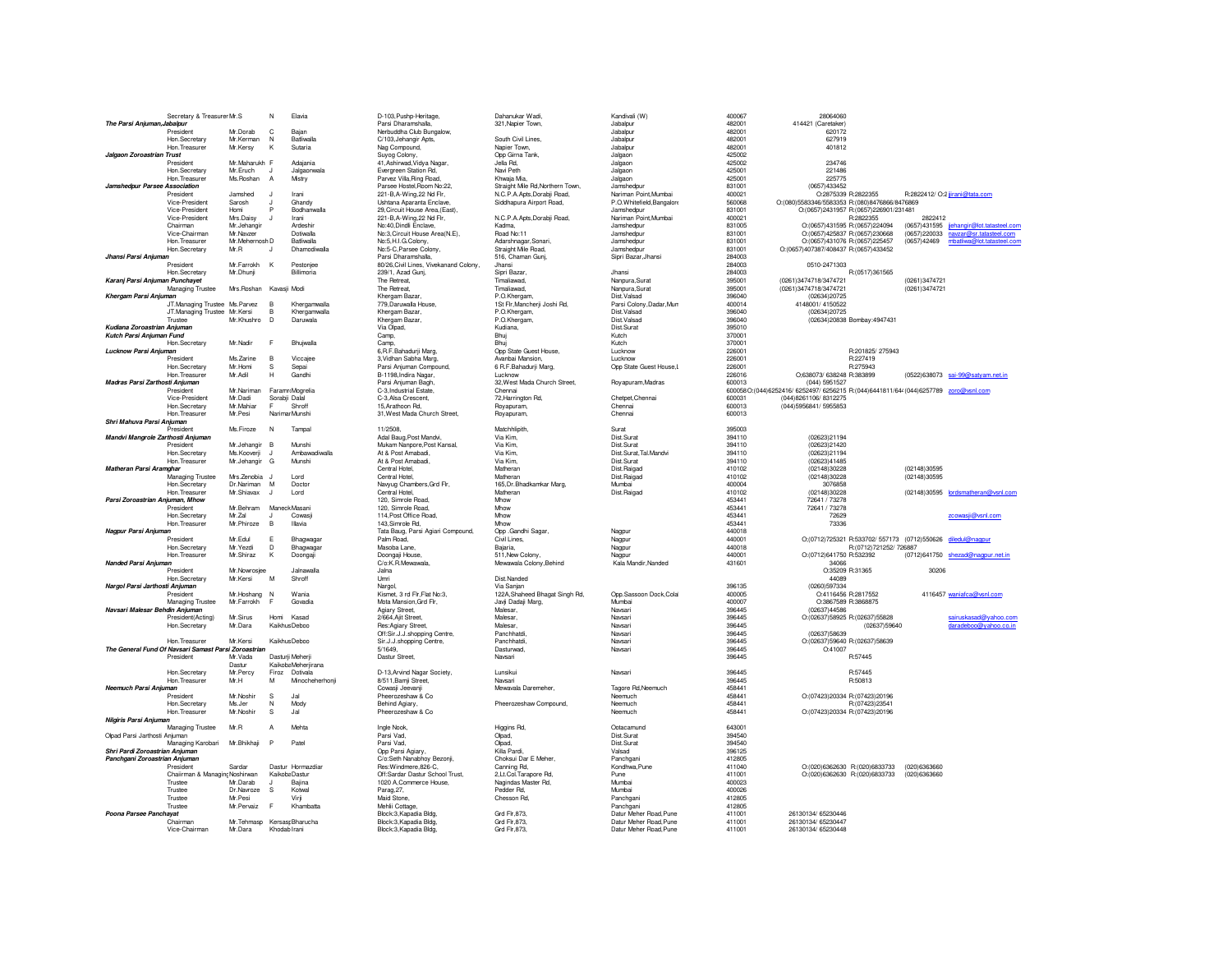|                                   | Secretary & Treasurer Mr.S                           |                                         | N              | Elavia                | D-103, Pushp-Heritage,                                  | Dahanukar Wadi.                             | Kandivali (W)                                   | 400067           | 28064060                                                                              |               |                                                                                   |
|-----------------------------------|------------------------------------------------------|-----------------------------------------|----------------|-----------------------|---------------------------------------------------------|---------------------------------------------|-------------------------------------------------|------------------|---------------------------------------------------------------------------------------|---------------|-----------------------------------------------------------------------------------|
| The Parsi Anjuman, Jabalpur       |                                                      |                                         |                |                       | Parsi Dharamshalla,                                     | 321, Napier Town,                           | Jabalpur                                        | 482001           | 414421 (Caretaker)                                                                    |               |                                                                                   |
|                                   | President                                            | Mr.Dorab                                | C              | Baian                 | Nerbuddha Club Bungalow,                                |                                             | Jabalpur                                        | 482001           | 620172                                                                                |               |                                                                                   |
|                                   | Hon Secretary                                        | Mr. Kerman                              | N              | <b>Batliwalla</b>     | C/103, Jehangir Apts,                                   | South Civil Lines.                          | Jahalnur                                        | 482001           | 627919                                                                                |               |                                                                                   |
|                                   | Hon. Treasurer                                       | Mr.Kersy                                | К              | Sutaria               | Nag Compound,                                           | Napier Town,                                | Jabalpur                                        | 482001           | 401812                                                                                |               |                                                                                   |
| Jalgaon Zoroastrian Trust         |                                                      |                                         |                |                       | Suyog Colony,                                           | Opp Girna Tank,                             | Jalgaon                                         | 425002           |                                                                                       |               |                                                                                   |
|                                   | President                                            | Mr.Maharukh F                           |                | Adaiania              | 41, Ashirwad, Vidya Nagar,                              | Jella Rd.                                   | Jalgaon                                         | 425002           | 234746                                                                                |               |                                                                                   |
|                                   | Hon Secretary                                        | Mr. Fruch                               | <b>J</b>       | Jalgaonwala           | Evergreen Station Rd.                                   | Navi Peth                                   | Jalgaon                                         | 425001           | 221486                                                                                |               |                                                                                   |
|                                   | Hon. Treasurer                                       | Ms.Roshan                               | $\overline{A}$ | Mistry                | Parvez Villa, Ring Road,                                | Khwaja Mia,                                 | Jalgaon                                         | 425001           | 225775                                                                                |               |                                                                                   |
| Jamshedpur Parsee Association     |                                                      |                                         |                |                       | Parsee Hostel, Room No:22,                              | Straight Mile Rd, Northern Town,            | Jamshedpur                                      | 831001           | (0657)433452                                                                          |               |                                                                                   |
|                                   | President                                            | <b>Jamshed</b>                          | $\mathbf{J}$   | Irani                 | 221-B, A-Wing, 22 Nd Flr,                               | N.C.P.A.Apts,Dorabji Road,                  | Nariman Point, Mumbai                           | 400021           | O:2875339 R:2822355                                                                   |               | R:2822412/ O:2 jirani@tata.com                                                    |
|                                   | Vice-President                                       | Sarosh                                  | $\cdot$        | Ghandy                | <b>Lishtana Anaranta Enclave</b>                        | Siddhapura Airport Road,                    | P.O. Whitefield, Bangalore                      | 560068           | O:(080)5583346/5583353 R:(080)8476866/8476869                                         |               |                                                                                   |
|                                   | Vice-President                                       | Homi                                    | P              | Bodhanwalla           | 29. Circuit House Area. (East)                          |                                             | Jamshedour                                      | 831001           | O:(0657)2431957 R:(0657)226901/231481                                                 |               |                                                                                   |
|                                   | Vice-President                                       | Mrs.Daisy                               | J              | Irani                 | 221-B, A-Wing, 22 Nd Flr,                               | N.C.P.A.Apts,Dorabji Road,                  | Nariman Point, Mumbai                           | 400021           | R:2822355                                                                             | 2822412       |                                                                                   |
|                                   | Chairman<br>Vice-Chairman                            | Mr.Jehangir<br>Mr.Navzer                |                | Ardeshir<br>Dotiwalla | No:40, Dindli Enclave,<br>No:3.Circuit House Area(N.E). | Kadma.<br>Road No:11                        | Jamshedpur<br>Jamshedpur                        | 831005<br>831001 | O:(0657)431595 R:(0657)224094<br>O:(0657)425837 R:(0657)230668                        |               | (0657)431595 jjehangir@lot.tatasteel.com<br>(0657) 220033 navzar@sr.tatasteel.com |
|                                   | Hon. Treasurer                                       | Mr.Mehernosh D                          |                | <b>Batliwalla</b>     |                                                         |                                             | Jamshedpur                                      | 831001           | O:(0657)431076 R:(0657)225457                                                         | (0657)42469   | mbatliwa@lot.tatasteel.com                                                        |
|                                   | Hon. Secretary                                       | Mr.R                                    |                | Dhamodiwalla          | No:5,H.I.G.Colony,<br>No:5-C, Parsee Colony,            | Adarshnagar, Sonari,<br>Straight Mile Road, | Jamshedpur                                      | 831001           | O:(0657)407387/408437 R:(0657)433452                                                  |               |                                                                                   |
| Jhansi Parsi Anjuman              |                                                      |                                         |                |                       | Parsi Dharamshalla,                                     | 516, Chaman Gunj,                           | Sipri Bazar, Jhansi                             | 284003           |                                                                                       |               |                                                                                   |
|                                   | President                                            | Mr. Farrokh                             | K              | Pestoniee             | 80/26 Civil Lines, Vivekanand Colony.                   | <b>Jhansi</b>                               |                                                 | 284003           | 0510-2471303                                                                          |               |                                                                                   |
|                                   | Hon. Secretary                                       | Mr.Dhunji                               |                | Billimoria            | 239/1, Azad Gunj,                                       | Sipri Bazar                                 | Jhansi                                          | 284003           | R:(0517)361565                                                                        |               |                                                                                   |
| Karanj Parsi Anjuman Punchayet    |                                                      |                                         |                |                       | The Retreat.                                            | Timaliawad,                                 | Nanpura, Surat                                  | 395001           | (0261)3474718/3474721                                                                 | (0261)3474721 |                                                                                   |
|                                   | Managing Trustee                                     | Mrs.Roshan Kavasji Modi                 |                |                       | The Retreat,                                            | Timaliawad,                                 | Nanpura, Surat                                  | 395001           | (0261)3474718/3474721                                                                 | (0261)3474721 |                                                                                   |
| Khergam Parsi Anjuman             |                                                      |                                         |                |                       | Khergam Bazar                                           | P.O.Khergam,                                | Dist Valsad                                     | 396040           | (02634)20725                                                                          |               |                                                                                   |
|                                   | JT.Managing Trustee Ms.Parvez                        |                                         | B              | Khergamwalla          | 779. Daruwalla House.                                   | 1St Flr, Mancherji Joshi Rd,                | Parsi Colony, Dadar, Mun                        | 400014           | 4148001/4150522                                                                       |               |                                                                                   |
|                                   | JT.Managing Trustee                                  | Mr.Kersi                                | B              | Khergamwalla          | Khergam Bazar.                                          | P.O.Khergam,                                | Dist Valsad                                     | 396040           | (02634)20725                                                                          |               |                                                                                   |
|                                   | Trustee                                              | Mr.Khushro                              | D              | Daruwala              | Khergam Bazar,                                          | P.O.Khergam,                                | Dist Valsad                                     | 396040           | (02634)20838 Bombay:4947431                                                           |               |                                                                                   |
| Kudiana Zoroastrian Aniuman       |                                                      |                                         |                |                       | Via Olpad,                                              | Kudiana.                                    | Dist Surat                                      | 395010           |                                                                                       |               |                                                                                   |
| Kutch Parsi Aniuman Fund          |                                                      |                                         |                |                       | Camp,                                                   | Bhui                                        | Kutch                                           | 370001           |                                                                                       |               |                                                                                   |
|                                   | Hon.Secretary                                        | Mr.Nadir                                | F              | Bhujwalla             | Camp,                                                   | Bhui                                        | Kutch                                           | 370001           |                                                                                       |               |                                                                                   |
| Lucknow Parsi Anjuman             |                                                      |                                         |                |                       | 6, R.F. Bahadurji Marg,                                 | Opp State Guest House,                      | Lucknow                                         | 226001           | R:201825/275943                                                                       |               |                                                                                   |
|                                   | President                                            | Ms. Zarine                              | $\overline{B}$ | Viccaiee              | 3, Vidhan Sabha Marg.                                   | Avanbai Mansion.                            | Lucknow                                         | 226001           | R:227419                                                                              |               |                                                                                   |
|                                   | Hon.Secretary                                        | Mr. Homi                                | S              | Sepai                 | Parsi Anjuman Compound,                                 | 6 R.F.Bahadurii Maro.                       | Opp State Guest House, L                        | 226001           | R:275943                                                                              |               |                                                                                   |
|                                   | Hon. Treasure                                        | Mr.Adil                                 | н              | Gandhi                | B-1198, Indira Nagar,                                   | Lucknow                                     |                                                 | 226016           | O;638073/ 638248 R:383899                                                             |               | (0522)638073 sai-99@satyam.net.in                                                 |
| Madras Parsi Zarthosti Anjuman    |                                                      |                                         |                |                       | Parsi Anjuman Bagh,                                     | 32, West Mada Church Street,                | Royapuram, Madras                               | 600013           | (044) 5951527                                                                         |               |                                                                                   |
|                                   | President                                            | Mr.Nariman                              |                | Faramr Mogrelia       | C-3.Industrial Estate.                                  | Chennai                                     |                                                 |                  | 600058 O:(044)6252416/ 6252497/ 6256215 R:(044)6441811/644 (044)6257789 zoro@vsnl.com |               |                                                                                   |
|                                   | Vice-President                                       | Mr.Dadi                                 | Sorabji Dalal  |                       | C-3.Alsa Crescent                                       | 72, Harrington Rd,                          | Chetpet, Chennai                                | 600031           | (044) 8261106/8312275                                                                 |               |                                                                                   |
|                                   | Hon.Secretary                                        | Mr.Mahiar                               |                | Shroff                | 15, Arathoon Rd,                                        | Royapuram,                                  | Chennai                                         | 600013           | (044) 5956841/5955853                                                                 |               |                                                                                   |
|                                   | Hon. Treasurer                                       | Mr.Pesi                                 |                | Narimar Munshi        | 31, West Mada Church Street,                            | Royapuram,                                  | Chennai                                         | 600013           |                                                                                       |               |                                                                                   |
| Shri Mahuva Parsi Aniuman         |                                                      |                                         |                |                       |                                                         |                                             |                                                 |                  |                                                                                       |               |                                                                                   |
|                                   | President                                            | Ms Firoze                               | N              | Tampal                | 11/2508                                                 | Matchhlinith                                | Surat                                           | 395003           |                                                                                       |               |                                                                                   |
| Mandvi Mangrole Zarthosti Anjuman |                                                      |                                         |                |                       | Adal Baug, Post Mandvi,                                 | Via Kim,                                    | Dist.Surat                                      | 394110           | (02623)21194                                                                          |               |                                                                                   |
|                                   | President                                            | Mr.Jehangir                             | $\overline{B}$ | Munshi                | Mukam Nanpore, Post Kansal,                             | Via Kim.                                    | Dist.Surat                                      | 394110           | (02623)21420                                                                          |               |                                                                                   |
|                                   | Hon Secretary                                        | Ms.Kooverii                             | $\mathbf{H}$   | Amhawadiwalla         | At & Post Amahadi                                       | Via Kim                                     | Dist.Surat.Tal.Mandvi                           | 394110           | (02623)21194                                                                          |               |                                                                                   |
|                                   | Hon. Treasurer                                       | Mr.Jehangir G                           |                | Munshi                | At & Post Amabadi.                                      | Via Kim                                     | Dist.Surat                                      | 394110           | (02623)41485                                                                          |               |                                                                                   |
| Matheran Parsi Aramghar           |                                                      |                                         |                |                       | Central Hotel,                                          | Matheran                                    | Dist Raigad                                     | 410102           | (02148)30228                                                                          | (02148)30595  |                                                                                   |
|                                   | Managing Trustee                                     | Mrs.Zenobia J                           |                | I ord                 | Central Hotel,                                          | Matheran                                    | Dist Raigad                                     | 410102           | (02148)30228                                                                          | (02148)30595  |                                                                                   |
|                                   | Hon.Secretary                                        | Dr. Nariman M                           |                | Doctor                | Navyug Chambers, Grd Flr,                               | 165.Dr.Bhadkamkar Marg.                     | Mumbai                                          | 400004           | 3076858                                                                               |               |                                                                                   |
|                                   | Hon Treasurer                                        | Mr.Shiavax                              | $\mathbf{d}$   | I ord                 | Central Hotel.                                          | Matheran                                    | Dist Raigad                                     | 410102           | (02148)30228                                                                          |               | (02148)30595 lordsmatheran@vsnl.com                                               |
| Parsi Zoroastrian Anjuman, Mhow   |                                                      |                                         |                |                       | 120, Simrole Road,                                      | Mhow                                        |                                                 | 453441           | 72641 / 73278                                                                         |               |                                                                                   |
|                                   | President                                            | Mr.Behram                               |                | Maneck Masani         | 120, Simrole Road,                                      | Mhow                                        |                                                 | 453441           | 72641 / 73278                                                                         |               |                                                                                   |
|                                   | Hon.Secretary                                        | Mr.Zal                                  | $\cdot$        | Cowasi                | 114, Post Office Road,                                  | Mhow                                        |                                                 | 453441           | 72629                                                                                 |               | zcowasji@vsnl.com                                                                 |
|                                   | Hon. Treasurer                                       | Mr.Phiroze                              | B              | Illavia               | 143.Simrole Rd.                                         | Mhow                                        |                                                 | 453441           | 73336                                                                                 |               |                                                                                   |
| Nagpur Parsi Anjuman              |                                                      |                                         |                |                       | Tata Baug, Parsi Agiari Compound,                       | Opp .Gandhi Sagar,                          | Nagpur                                          | 440018<br>440001 |                                                                                       |               |                                                                                   |
|                                   | President<br>Hon Secretary                           | Mr.Edul<br>Mr. Yezdi                    | Е<br>D         | Bhagwaga              | Palm Road,<br>Masoba Lane                               | Civil Lines.<br>Bajaria.                    | Nagpur                                          | 440018           | O;(0712)725321 R:533702/ 557173 (0712)550626 diledul@nagpur<br>R:(0712)721252/ 726887 |               |                                                                                   |
|                                   |                                                      |                                         |                | Bhagwaga              |                                                         |                                             | Nagpur                                          | 440001           |                                                                                       |               |                                                                                   |
| Nanded Parsi Anjuman              | Hon. Treasurer                                       | Mr.Shiraz                               | Κ              | Doongaji              | Doongaji House,<br>C/o:K.R.Mewawala.                    | 511, New Colony,<br>Mewawala Colony, Behind | Nagpur<br>Kala Mandir, Nanded                   | 431601           | O:(0712)641750 R:532392<br>34066                                                      |               | (0712)641750 shezad@nagpur.net.in                                                 |
|                                   | President                                            | Mr.Nowrosjee                            |                | Jalnawalla            | Jalna                                                   |                                             |                                                 |                  | O:35209 R:31365                                                                       | 30206         |                                                                                   |
|                                   | Hon.Secretary                                        | Mr. Kersi                               | M              | Shroff                | Umri                                                    | Dist.Nanded                                 |                                                 |                  | 44089                                                                                 |               |                                                                                   |
| Nargol Parsi Jarthosti Anjuman    |                                                      |                                         |                |                       | Narool.                                                 | Via Sanian                                  |                                                 | 396135           | (0260)597334                                                                          |               |                                                                                   |
|                                   | President                                            | Mr.Hoshang N                            |                | Wania                 | Kismet, 3 rd Flr, Flat No:3,                            | 122A, Shaheed Bhagat Singh Rd,              | Opp.Sassoon Dock,Colal                          | 400005           | O:4116456 R:2817552                                                                   |               | 4116457 waniafca@vsnl.com                                                         |
|                                   | Managing Trustee                                     | Mr.Farrokh                              | F              | Govadia               | Mota Mansion, Grd Flr,                                  | Javji Dadaji Marg,                          | Mumbai                                          | 400007           | O:3867589 R:3868875                                                                   |               |                                                                                   |
| Navsari Malesar Behdin Aniuman    |                                                      |                                         |                |                       | Agiary Street.                                          | Malesar.                                    | Navsari                                         | 396445           | (02637)44586                                                                          |               |                                                                                   |
|                                   | President(Acting)                                    | Mr.Sirus                                | Homi Kasad     |                       | 2/664, Ajit Street,                                     | Malesar.                                    | Naveari                                         | 396445           | O:(02637)58925 R:(02637)55828                                                         |               | sairuskasad@yahoo.com                                                             |
|                                   | Hon.Secretary                                        | Mr.Dara                                 |                | Kaikhus Deboo         | Res:Agiary Street,                                      | Malesar.                                    | Navsari                                         | 396445           | (02637)59640                                                                          |               | daradeboo@yahoo.co.in                                                             |
|                                   |                                                      |                                         |                |                       | Off:Sir.J.J.shopping Centre,                            | Panchhatdi,                                 | Navsari                                         | 396445           | (02637)58639                                                                          |               |                                                                                   |
|                                   | Hon. Treasurer                                       | Mr.Kersi                                |                | Kaikhus Deboo         | Sir.J.J.shopping Centre,                                | Panchhatdi.                                 | Navsari                                         | 396445           | O:(02637)59640 R:(02637)58639                                                         |               |                                                                                   |
|                                   | The General Fund Of Navsari Samast Parsi Zoroastrian |                                         |                |                       | 5/1649.                                                 | Dasturwad                                   | Navsari                                         | 396445           | O:41007                                                                               |               |                                                                                   |
|                                   | President                                            | Mr. Vada                                |                | Dasturii Meherii      | Dastur Street,                                          | Navsari                                     |                                                 | 396445           | R:57445                                                                               |               |                                                                                   |
|                                   |                                                      | Dastur                                  |                | Kaikoba Meherjirana   |                                                         |                                             |                                                 |                  |                                                                                       |               |                                                                                   |
|                                   | Hon.Secretary                                        | Mr.Percy                                | Firoz          | Dotivala              | D-13, Arvind Nagar Society,                             | Lunsikui                                    | Navsari                                         | 396445           | R:57445                                                                               |               |                                                                                   |
|                                   | Hon. Treasurer                                       | Mr.H                                    | M              | Minocheherhonii       | 8/511, Bamji Street,                                    | Navsari                                     |                                                 | 396445           | R:50813                                                                               |               |                                                                                   |
| Neemuch Parsi Anjuman             |                                                      |                                         |                |                       | Cowasji Jeevanji                                        | Mewavala Daremeher.                         | Tagore Rd, Neemuch                              | 458441           |                                                                                       |               |                                                                                   |
|                                   | President                                            | Mr.Noshir                               | s              | Jal                   | Pheerozeshaw & Co                                       |                                             | Neemuch                                         | 458441           | O:(07423)20334 R:(07423)20196                                                         |               |                                                                                   |
|                                   | Hon Secretary                                        | Ms.ler                                  | N              | Mody                  | <b>Behind Anjary</b>                                    | Pheerozeshaw Compound,                      | Neemuch                                         | 458441           | R:(07423)23541                                                                        |               |                                                                                   |
|                                   | Hon. Treasurer                                       | Mr.Noshir                               | s              | Jal                   | Pheerozeshaw & Co                                       |                                             | Neemuch                                         | 458441           | O:(07423)20334 R:(07423)20196                                                         |               |                                                                                   |
| Nilgiris Parsi Anjuman            |                                                      |                                         |                |                       |                                                         |                                             |                                                 |                  |                                                                                       |               |                                                                                   |
|                                   | Managing Trustee                                     | Mr.R                                    | $\overline{A}$ | Mehta                 | Ingle Nook,                                             | Higgins Rd,                                 | Ootacamund                                      | 643001           |                                                                                       |               |                                                                                   |
| Olpad Parsi Jarthosti Anjuman     |                                                      |                                         |                |                       | Parsi Vad.                                              | Olpad,                                      | Dist Surat                                      | 394540           |                                                                                       |               |                                                                                   |
|                                   | Managing Karobari                                    | Mr.Bhikhaji                             | P              | Patel                 | Parsi Vad.                                              | Olpad,                                      | Dist.Surat                                      | 394540           |                                                                                       |               |                                                                                   |
|                                   |                                                      |                                         |                |                       | Opp Parsi Agiary,<br>C/o:Seth Nanabhoy Bezonji,         | Killa Pardi,                                | Valsad                                          | 396125           |                                                                                       |               |                                                                                   |
|                                   | Shri Pardi Zoroastrian Anjuman                       |                                         |                |                       |                                                         | Choksui Dar E Meher,                        | Panchgani                                       | 412805           |                                                                                       |               |                                                                                   |
| Panchgani Zoroastrian Anjuman     |                                                      |                                         |                |                       |                                                         |                                             |                                                 |                  |                                                                                       |               |                                                                                   |
|                                   | President                                            | Sardar                                  |                | Dastur Hormazdiar     | Res: Windmere, 826-C,                                   | Canning Rd.                                 | Kondhwa, Pune                                   | 411040           | O:(020)6362630 R:(020)6833733                                                         | (020)6363660  |                                                                                   |
|                                   | Chaiirman & Managin Noshirwan                        |                                         | Kaikoba Dastur |                       | Off:Sardar Dastur School Trust,                         | 2,Lt.Col.Tarapore Rd,                       | Pune                                            | 411001           | O:(020)6362630 R:(020)6833733                                                         | (020)6363660  |                                                                                   |
|                                   | Trustee                                              | Mr.Darab                                | J              | Bajina                | 1020 A, Commerce House,                                 | Nagindas Master Rd,                         | Mumbai                                          | 400023           |                                                                                       |               |                                                                                   |
|                                   | Trustee                                              | Dr.Nawoze                               | s              | Kotwal                | Parag, 27,                                              | Pedder Rd,                                  | Mumbai                                          | 400026           |                                                                                       |               |                                                                                   |
|                                   | Trustee                                              | Mr.Pesi                                 |                | Virii                 | Maid Stone,                                             | Chesson Rd.                                 | Panchgani                                       | 412805           |                                                                                       |               |                                                                                   |
|                                   | Trustee                                              | Mr.Pervaiz                              | E              | Khambatta             | Mehlii Cottage,                                         |                                             | Panchgani                                       | 412805           |                                                                                       |               |                                                                                   |
| Poona Parsee Panchayat            |                                                      |                                         |                |                       | Block:3, Kapadia Bldg,                                  | Grd Flr, 873,                               | Datur Meher Road, Pune                          | 411001           | 26130134/ 65230446                                                                    |               |                                                                                   |
|                                   | Chairman<br>Vice-Chairman                            | Mr. Tehmasp Kersas; Bharucha<br>Mr.Dara | Khodab Irani   |                       | Block:3, Kapadia Bldg,<br>Block:3 Kanadia Bldg.         | Grd Flr.873.<br>Grd Flr.873                 | Datur Meher Road, Pune<br>Datur Meher Road.Pune | 411001<br>411001 | 26130134/65230447<br>26130134/ 65230448                                               |               |                                                                                   |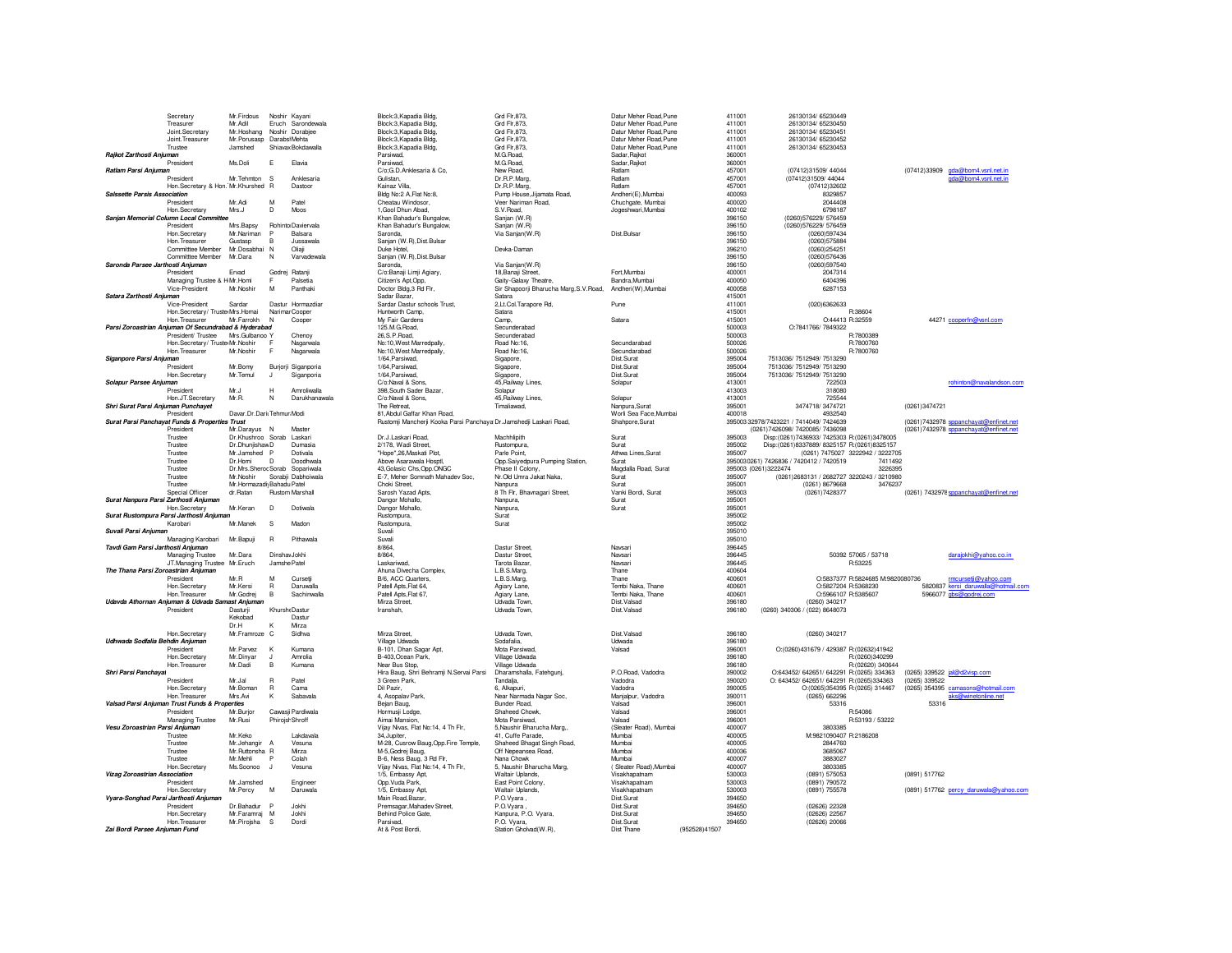|                                                | Secretary                                            | Mr.Firdous                      |                   | Noshir Kayani                     | Block:3, Kapadia Bldg,                                             | Grd Flr, 873,                              | Datur Meher Boad Pune            |               | 411001           | 26130134/ 65230449                                                                         |                                                           |
|------------------------------------------------|------------------------------------------------------|---------------------------------|-------------------|-----------------------------------|--------------------------------------------------------------------|--------------------------------------------|----------------------------------|---------------|------------------|--------------------------------------------------------------------------------------------|-----------------------------------------------------------|
|                                                | Treasurer                                            | Mr.Adil                         |                   | Eruch Sarondewala                 | Block:3, Kapadia Bldg,                                             | Grd Flr, 873,                              | Datur Meher Road.Pune            |               | 411001           | 26130134/ 65230450                                                                         |                                                           |
|                                                | Joint.Secretary                                      | Mr.Hoshang                      |                   | Noshir Dorabjee                   | Block:3, Kapadia Bldg,                                             | Grd Flr, 873,                              | Datur Meher Boad Pune            |               | 411001           | 26130134/ 65230451                                                                         |                                                           |
|                                                | Joint Treasurer                                      | Mr.Porusasp Darabsi Mehta       |                   |                                   | Block:3, Kapadia Bldg.                                             | Grd Flr.873.                               | Datur Meher Road, Pune           |               | 411001           | 26130134/ 65230452                                                                         |                                                           |
|                                                | Trustee                                              | Jamshed                         |                   | Shiayax Bokdawalla                | Block:3.Kapadia Bldg.                                              | Grd Flr.873.                               | Datur Meher Road, Pune           |               | 411001           | 26130134/65230453                                                                          |                                                           |
| Rajkot Zarthosti Anjuman                       |                                                      |                                 |                   |                                   | Parsiwad.                                                          | M.G.Road,                                  | Sadar, Raikot                    |               | 360001           |                                                                                            |                                                           |
|                                                | President                                            | Ms Doli                         | F.                | Flavia                            | Parsiwad,                                                          | M.G.Road,                                  | Sadar, Rajkot                    |               | 360001           |                                                                                            |                                                           |
| Ratlam Parsi Anjuman                           | President                                            | Mr. Tehmton S                   |                   | Anklesaria                        | C/o;G.D.Anklesaria & Co,<br>Gulistan                               | New Road,<br>Dr.R.P.Marg.                  | Ratlam<br>Ratlam                 |               | 457001<br>457001 | (07412)31509/44044<br>(07412)31509/44044                                                   | (07412)33909 gda@bom4.vsnl.net.in<br>gda@bom4.vsnl.net.in |
|                                                | Hon.Secretary & Hon. Mr.Khurshed R                   |                                 |                   | Dastoor                           | Kainaz Villa.                                                      | Dr.R.P.Marg,                               | Ratlam                           |               | 457001           | (07412)32602                                                                               |                                                           |
| Salssette Parsis Association                   |                                                      |                                 |                   |                                   | Bldg No:2 A, Flat No:8,                                            | Pump House, Jijamata Road,                 | Andheri(E), Mumbai               |               | 400093           | 8329857                                                                                    |                                                           |
|                                                | President                                            | Mr.Adi                          | M                 | Patel                             | Cheatau Windosor,                                                  | Veer Nariman Road,                         | Chuchgate, Mumbai                |               | 400020           | 2044408                                                                                    |                                                           |
|                                                | Hon.Secretary                                        | Mrs.J                           | D                 | Moos                              | 1. Gool Dhun Abad.                                                 | S.V.Road.                                  | Jogeshwari, Mumbai               |               | 400102           | 6798187                                                                                    |                                                           |
| Sanian Memorial Column Local Committed         |                                                      |                                 |                   |                                   | Khan Bahadur's Bungalow,                                           | Sanian (W.R)                               |                                  |               | 396150           | (0260)576229/576459                                                                        |                                                           |
|                                                | President                                            | Mrs.Bapsy                       |                   | Rohinto Daviervala                | Khan Bahadur's Bungalow,                                           | Sanjan (W.R)                               |                                  |               | 396150           | (0260) 576229/ 576459                                                                      |                                                           |
|                                                | Hon, Secretary                                       | Mr.Nariman                      |                   | Balsara                           | Saronda                                                            | Via Sanjan(W.R)                            | Dist.Bulsar                      |               | 396150           | (0260)597434                                                                               |                                                           |
|                                                | Hon. Treasurer                                       | Gustasp                         | B.                | Jussawala                         | Sanjan (W.R), Dist. Bulsar                                         |                                            |                                  |               | 396150           | (0260)575884                                                                               |                                                           |
|                                                | Committee Member                                     | Mr. Dosabhai                    | N                 | Oliaii                            | Duke Hotel                                                         | Devka-Daman                                |                                  |               | 396210           | (0260)254251                                                                               |                                                           |
|                                                | Committee Member                                     | Mr.Dara                         | N                 | Varvadewala                       | Sanjan (W.R), Dist. Bulsar                                         |                                            |                                  |               | 396150           | (0260)576436                                                                               |                                                           |
| Saronda Parsee Jarthosti Anjuman               | President                                            | Ervad                           |                   | Godrej Ratanji                    | Saronda.<br>C/o:Banaji Limji Agiary,                               | Via Sanjan(W.R)<br>18, Banaji Street,      | Fort, Mumbai                     |               | 396150<br>400001 | (0260)597540<br>2047314                                                                    |                                                           |
|                                                | Managing Trustee & H Mr.Homi                         |                                 |                   | Palsetia                          | Citizen's Apt.Opp.                                                 | Gaity-Galaxy Theatre.                      | Bandra Mumbai                    |               | 400050           | 6404396                                                                                    |                                                           |
|                                                | Vice-President                                       | Mr.Noshir                       | M                 | Panthaki                          | Doctor Bldg, 3 Rd Flr,                                             | Sir Shapoorji Bharucha Marg, S.V. Road,    | Andheri(W), Mumbai               |               | 400058           | 6287153                                                                                    |                                                           |
| Satara Zarthosti Anjuman                       |                                                      |                                 |                   |                                   | Sadar Bazar.                                                       | Satara                                     |                                  |               | 415001           |                                                                                            |                                                           |
|                                                | Vice-President                                       | Sardar                          |                   | Dastur Hormazdiar                 | Sardar Dastur schools Trust,                                       | 2,Lt.Col.Tarapore Rd,                      | Pune                             |               | 411001           | (020)6362633                                                                               |                                                           |
|                                                | Hon.Secretary/ Truste Mrs.Homai                      |                                 |                   | Narimar Cooper                    | Huntworth Camp.                                                    | Satara                                     |                                  |               | 415001           | R:38604                                                                                    |                                                           |
|                                                | Hon Treasurer                                        | Mr Farrokh                      | N                 | Cooper                            | My Fair Gardens                                                    | Camp,                                      | Satara                           |               | 415001           | O:44413 R:32559                                                                            | 44271 cooperfn@vsnl.com                                   |
|                                                | Parsi Zoroastrian Anjuman Of Secundrabad & Hyderabad |                                 |                   |                                   | 125.M.G.Road,                                                      | Secunderabad                               |                                  |               | 500003           | O:7841766/7849322                                                                          |                                                           |
|                                                | President/ Trustee                                   | Mrs.Gulbanoo \                  |                   | Chenov                            | 26, S.P. Road,                                                     | Secunderabad                               |                                  |               | 500003           | R:7800389                                                                                  |                                                           |
|                                                | Hon.Secretary/Truste Mr.Noshir                       |                                 | E                 | Nagarwala                         | No:10, West Marredpally,                                           | Road No:16.                                | Secundarabad                     |               | 500026           | R:7800760                                                                                  |                                                           |
|                                                | Hon Treasurer                                        | Mr. Noshir                      | E                 | Nagarwala                         | No:10, West Marredpally,                                           | Road No:16                                 | Secundarabad                     |               | 500026           | R:7800760                                                                                  |                                                           |
| Siganpore Parsi Anjuman                        | Presiden                                             | Mr.Bomy                         |                   |                                   | 1/64, Parsiwad,<br>1/64, Parsiwad,                                 | Sigapore,                                  | Dist.Surat<br>Dist.Surat         |               | 395004<br>395004 | 7513036/ 7512949/ 7513290<br>7513036/ 7512949/ 7513290                                     |                                                           |
|                                                | Hon.Secretary                                        | Mr.Temul                        | J                 | Burjorji Siganporia<br>Siganporia | 1/64, Parsiwad,                                                    | Sigapore,<br>Sigapore,                     | Dist.Surat                       |               | 395004           | 7513036/ 7512949/ 7513290                                                                  |                                                           |
| Solapur Parsee Anjuman                         |                                                      |                                 |                   |                                   | C/o:Naval & Sons                                                   | 45, Railway Lines,                         | Solapur                          |               | 413001           | 722503                                                                                     | rohinton@navalandson.com                                  |
|                                                | President                                            | Mr.J                            | H.                | Amroliwalla                       | 398. South Sader Bazar.                                            | Solapur                                    |                                  |               | 413003           | 318080                                                                                     |                                                           |
|                                                | Hon.JT.Secretary                                     | Mr.R.                           | N                 | Darukhanawala                     | C/o:Naval & Sons,                                                  | 45, Railway Lines,                         | Solapur                          |               | 413001           | 725544                                                                                     |                                                           |
| Shri Surat Parsi Anjuman Punchayet             |                                                      |                                 |                   |                                   | The Retreat.                                                       | Timaliawad.                                | Nanpura, Surat                   |               | 395001           | 3474718/3474721                                                                            | (0261)3474721                                             |
|                                                | President                                            | Davar.Dr.DaritTehmur Modi       |                   |                                   | 81. Abdul Gaffar Khan Road.                                        |                                            | Worli Sea Face Mumbai            |               | 400018           | 4932540                                                                                    |                                                           |
| Surat Parsi Panchayat Funds & Properties Trust |                                                      |                                 |                   |                                   | Rustomji Mancherji Kooka Parsi Panchaya Dr.Jamshedji Laskari Road, |                                            | Shahpore, Surat                  |               |                  | 395003 32978/7423221 / 7414049/ 7424639                                                    | (0261)7432978 sppanchayat@enfinet.net                     |
|                                                | President                                            | Mr.Daravus N                    |                   | Master                            |                                                                    |                                            |                                  |               |                  | (0261) 7426098/ 7420085/ 7436098                                                           | (0261)7432978 sppanchayat@enfinet.net                     |
|                                                | Trustee                                              | Dr.Khushroo Sorab Laskari       |                   | Dumasia                           | Dr.J.Laskari Road,                                                 | Machhlipith                                | Surat                            |               | 395003<br>395002 | Disp:(0261)7436933/ 7425303 R:(0261)3478005<br>Disp:(0261)8337889/ 8325157 R:(0261)8325157 |                                                           |
|                                                | Trustee<br>Trustee                                   | Dr.Dhunjishaw D<br>Mr.Jamshed P |                   | Dotivala                          | 2/178, Wadi Street,<br>"Hone" 26 Maskati Plot                      | Rustompura,<br>Parle Point                 | Surat<br>Athwa Lines Surat       |               | 395007           | (0261) 7475027 3222942 / 3222705                                                           |                                                           |
|                                                | Trustee                                              | Dr Homi                         | n.                | Doodhwala                         | Above Asarawala Hosptl.                                            | Opp.Saiyedpura Pumping Station,            | Surat                            |               |                  | 395003 0261) 7426836 / 7420412 / 7420519<br>7411492                                        |                                                           |
|                                                | Trustee                                              | Dr.Mrs.Sheroc Sorab Sopariwala  |                   |                                   | 43, Golasic Chs, Opp. ONGC                                         | Phase II Colony,                           | Magdalla Road, Surat             |               |                  | 395003 (0261)3222474<br>3226395                                                            |                                                           |
|                                                | Trustee                                              | Mr. Noshir                      |                   | Sorabji Dabhoiwala                | F-7. Meher Somnath Mahadey Soc.                                    | Nr.Old Umra Jakat Naka,                    | Surat                            |               | 395007           | (0261)2683131 / 2682727 3220243 / 3210980                                                  |                                                           |
|                                                | Trustee                                              | Mr. Hormazadiı Bahadu Patel     |                   |                                   | Choki Street.                                                      | Nannura                                    | Surat                            |               | 395001           | (0261) 8679668<br>3476237                                                                  |                                                           |
|                                                | Special Officer                                      | dr. Ratan                       |                   | <b>Rustom Marshall</b>            | Sarosh Yazad Apts                                                  | 8 Th Fir, Bhavnagari Street,               | Vanki Bordi, Surat               |               | 395003           | (0261)7428377                                                                              | (0261) 7432978 sppanchayat@enfinet.net                    |
| Surat Nanpura Parsi Zarthosti Anjuman          |                                                      |                                 |                   |                                   | Dangor Mohallo,                                                    | Nanpura,                                   | Surat                            |               | 395001           |                                                                                            |                                                           |
|                                                | Hon.Secretary                                        | Mr.Keran                        | D                 | Dotiwala                          | Dangor Mohallo,                                                    | Nanpura,                                   | Surat                            |               | 395001           |                                                                                            |                                                           |
| Surat Rustompura Parsi Jarthosti Anjuman       |                                                      |                                 |                   |                                   | Rustomoura.                                                        | Surat                                      |                                  |               | 395002           |                                                                                            |                                                           |
|                                                | Karobar                                              | Mr.Manek                        | s                 | Madon                             | Rustompura,                                                        | Surat                                      |                                  |               | 395002           |                                                                                            |                                                           |
| Suvali Parsi Anjuman                           |                                                      |                                 | R                 | Pithawala                         | Suvali<br>Suvali                                                   |                                            |                                  |               | 395010<br>395010 |                                                                                            |                                                           |
| Tavdi Gam Parsi Jarthosti Anjuman              | Managing Karobari                                    | Mr.Bapuji                       |                   |                                   | 8/864.                                                             | Dastur Street,                             | Navsari                          |               | 396445           |                                                                                            |                                                           |
|                                                | Managing Trustee                                     | Mr.Dara                         |                   | Dinshay Jokhi                     | 8/864                                                              | Dastur Street.                             | Navsari                          |               | 396445           | 50392 57065 / 53718                                                                        | darajokhi@vahoo.co.in                                     |
|                                                | JT.Managing Trustee Mr.Eruch                         |                                 |                   | Jamshe Patel                      | Laskariwad.                                                        | Tarota Bazar.                              | Navsari                          |               | 396445           | R:53225                                                                                    |                                                           |
| The Thana Parsi Zoroastrian Anjuman            |                                                      |                                 |                   |                                   | Ahuna Divecha Complex,                                             | L.B.S.Marg,                                | Thane                            |               | 400604           |                                                                                            |                                                           |
|                                                | President                                            | Mr.R                            | М                 | Cursetji                          | B/6, ACC Quarters,                                                 | L.B.S.Marg.                                | Thane                            |               | 400601           | O:5837377 R:5824685 M:9820080736                                                           | rmcursetji@yahoo.com                                      |
|                                                | Hon.Secretary                                        | Mr.Kersi                        | R                 | Daruwalla                         | Patell Apts, Flat 64,                                              | Agiary Lane,                               | Tembi Naka, Thane                |               | 400601           | O:5827204 R:5368230                                                                        | 5820837 kersi daruwalla@hotmail.com                       |
|                                                | Hon Treasurer                                        | Mr.Godrei                       | R                 | Sachinwalla                       | Patell Ants Flat 67                                                | Agiary Lane.                               | Tembi Naka, Thane                |               | 400601           | O:5966107 B:5385607                                                                        | 5966077 gbs@godrej.com                                    |
|                                                | Udavda Athornan Anjuman & Udvada Samast Anjuman      |                                 |                   |                                   | Mirza Street.                                                      | Udvada Town                                | Dist Valsad                      |               | 396180           | (0260) 340217                                                                              |                                                           |
|                                                | President                                            | Dasturji                        |                   | Khursh (Dastur                    | Iranshah.                                                          | Udvada Town,                               | Dist. Valsad                     |               | 396180           | (0260) 340306 / (022) 8648073                                                              |                                                           |
|                                                |                                                      | Kekobad                         | ĸ                 | Dastur                            |                                                                    |                                            |                                  |               |                  |                                                                                            |                                                           |
|                                                | Hon Secretary                                        | Dr.H<br>Mr.Framroze C           |                   | Mirza<br>Sidhva                   | Mirza Street.                                                      | Lidvada Town.                              | Dist Valsad                      |               | 396180           | (0260) 340217                                                                              |                                                           |
| Udhwada Sodfalia Behdin Anjuman                |                                                      |                                 |                   |                                   | Village Udwada                                                     | Sodafalia,                                 | Udwada                           |               | 396180           |                                                                                            |                                                           |
|                                                | President                                            | Mr.Parvez                       | К                 | Kumana                            | B-101, Dhan Sagar Apt,                                             | Mota Parsiwad.                             | Valsad                           |               | 396001           | O:(0260)431679 / 429387 R:(02632)41942                                                     |                                                           |
|                                                | Hon.Secretary                                        | Mr.Dinyar                       | J                 | Amrolia                           | B-403.Ocean Park.                                                  | Village Udwada                             |                                  |               | 396180           | R:(0260)340299                                                                             |                                                           |
|                                                | Hon. Treasurer                                       | Mr.Dadi                         | B                 | Kumana                            | Near Bus Stop.                                                     | Village Udwada                             |                                  |               | 396180           | R:(02620) 340644                                                                           |                                                           |
| Shri Parsi Panchayat                           |                                                      |                                 |                   |                                   | Hira Baug, Shri Behramji N.Servai Parsi                            | Dharamshalla, Fatehgunj,                   | P.O.Road, Vadodra                |               | 390002           | O:643452/ 642651/ 642291 R:(0265) 334363                                                   | (0265) 339522 jal@d2visp.com                              |
|                                                | President                                            | Mr.Jal                          | R.                | Patel                             | 3 Green Park,                                                      | Tandalja.                                  | Vadodra                          |               | 390020           | O: 643452/ 642651/ 642291 R:(0265)334363                                                   | (0265) 339522                                             |
|                                                | Hon, Secretary                                       | Mr.Boman                        | $\mathsf{R}$      | Cama                              | Dil Pazir,                                                         | 6, Alkapuri,                               | Vadodra                          |               | 390005           | O:(0265)354395 R:(0265) 314467                                                             | (0265) 354395 camasons@hotmail.com                        |
|                                                | Hon Treasurer                                        | Mrs Avi                         | ĸ                 | Sabayala                          | 4. Asonalay Park.                                                  | Near Narmada Nagar Soc.                    | Manjalnur, Vadodra               |               | 390011           | (0265) 662296                                                                              | s@winetonline.net                                         |
|                                                | Valsad Parsi Anjuman Trust Funds & Properties        |                                 |                   |                                   | Bejan Baug,                                                        | Bunder Road.                               | Valsad                           |               | 396001           | 53316                                                                                      | 53316                                                     |
|                                                | President                                            | Mr.Burior                       |                   | Cawasji Pardiwala                 | Hormusii Lodge                                                     | Shaheed Chowk,                             | Valsad                           |               | 396001           | R:54086                                                                                    |                                                           |
| Vesu Zoroastrian Parsi Anjuman                 | Managing Trustee                                     | Mr.Rusi                         |                   | Phiroish Shroff                   | Aimai Mansion,<br>Viiav Nivas, Flat No:14, 4 Th Flr.               | Mota Parsiwad.<br>5 Naushir Bharucha Maro. | Valsad<br>(Sleater Road), Mumbai |               | 396001<br>400007 | R:53193 / 53222<br>3803385                                                                 |                                                           |
|                                                | Trustee                                              | Mr.Keko                         |                   | Lakdavala                         |                                                                    | 41. Cuffe Parade                           | Mumbai                           |               | 400005           | M:9821090407 R:2186208                                                                     |                                                           |
|                                                | Trustee                                              | Mr.Jehangir A                   |                   | Vesuna                            | 34, Jupiter,<br>M-28, Cusrow Baug, Opp. Fire Temple,               | Shaheed Bhagat Singh Road,                 | Mumbai                           |               | 400005           | 2844760                                                                                    |                                                           |
|                                                | Trustee                                              | Mr.Ruttonsha R                  |                   | Mirza                             | M-5, Godrej Baug,                                                  | Off Nepeansea Road,                        | Mumbai                           |               | 400036           | 3685067                                                                                    |                                                           |
|                                                | Trustee                                              | Mr. Mehli                       |                   | Colah                             | B-6, Ness Baug, 3 Rd Flr.                                          | Nana Chowk                                 | Mumbai                           |               | 400007           | 3883027                                                                                    |                                                           |
|                                                | Hon Secretary                                        | Ms.Soonoo                       | $\cdot$           | Vesuna                            | Vijay Nivas, Flat No:14, 4 Th Flr.                                 | 5. Naushir Bharucha Maro                   | (Sleater Boad) Mumbai            |               | 400007           | 3803385                                                                                    |                                                           |
| Vizag Zoroastrian Association                  |                                                      |                                 |                   |                                   | 1/5, Embassy Apt,                                                  | Waltair Uplands,                           | Visakhapatnam                    |               | 530003           | (0891) 575053                                                                              | (0891) 517762                                             |
|                                                | President                                            | Mr.Jamshed                      |                   | Engineer                          | Opp. Vuda Park,                                                    | East Point Colony.                         | Visakhapatnam                    |               | 530003           | (0891) 790572                                                                              |                                                           |
|                                                | Hon.Secretary                                        | Mr.Percy                        | M                 | Daruwala                          | 1/5. Embassy Apt.                                                  | Waltair Uplands,                           | Visakhapatnam                    |               | 530003           | (0891) 755578                                                                              | (0891) 517762 percy daruwala@yahoo.com                    |
| Vvara-Songhad Parsi Jarthosti Aniuman          |                                                      |                                 |                   |                                   | Main Road Bazar                                                    | P.O. Vvara.                                | Dist Surat                       |               | 394650           |                                                                                            |                                                           |
|                                                | President                                            | Dr.Bahadur                      | $\mathsf{P}$<br>M | Jokhi                             | Premsagar, Mahadev Street,                                         | P.O.Vyara,                                 | Dist.Surat                       |               | 394650           | (02626) 22328                                                                              |                                                           |
|                                                | Hon, Secretary<br>Hon. Treasurer                     | Mr.Faramraj                     | s                 | Jokhi<br>Dordi                    | Behind Police Gate,<br>Parsivad.                                   | Kanpura, P.O. Vyara,                       | Dist.Surat<br>Dist.Surat         |               | 394650<br>394650 | (02626) 22567<br>$(02626)$ 20066                                                           |                                                           |
| Zai Bordi Parsee Anjuman Fund                  |                                                      | Mr.Pirojsha                     |                   |                                   | At & Post Bordi.                                                   | P.O. Vyara,<br>Station Gholvad (W.R).      | Dist Thane                       | (952528)41507 |                  |                                                                                            |                                                           |
|                                                |                                                      |                                 |                   |                                   |                                                                    |                                            |                                  |               |                  |                                                                                            |                                                           |